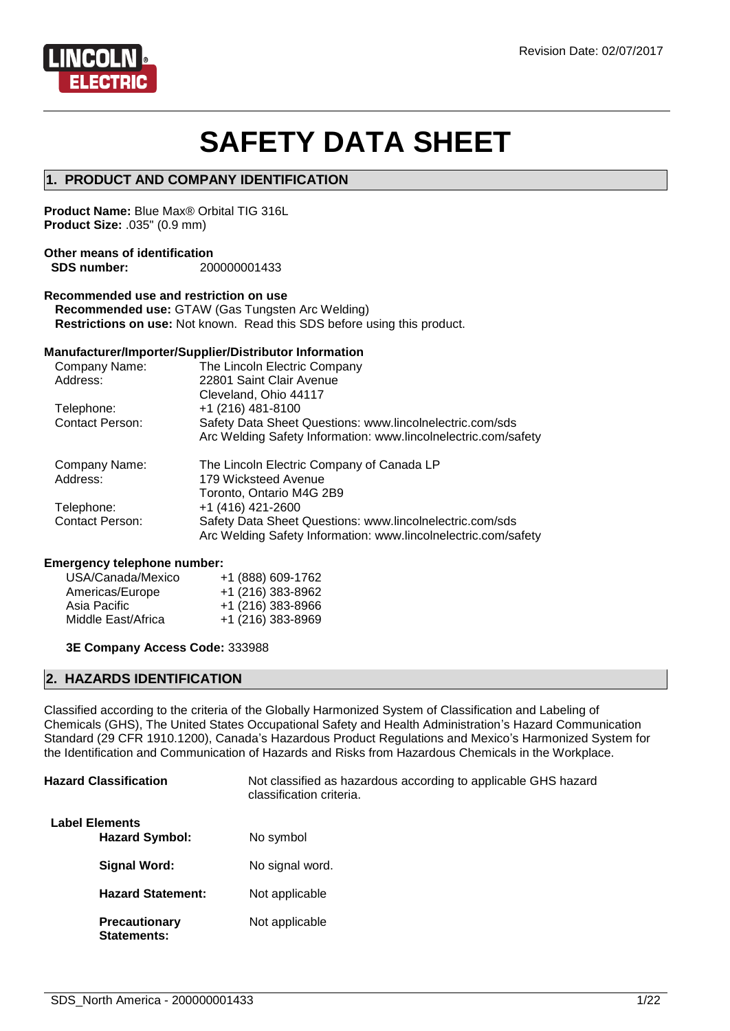

# **SAFETY DATA SHEET**

#### **1. PRODUCT AND COMPANY IDENTIFICATION**

**Product Name:** Blue Max® Orbital TIG 316L **Product Size:** .035" (0.9 mm)

#### **Other means of identification SDS number:** 200000001433

#### **Recommended use and restriction on use**

**Recommended use:** GTAW (Gas Tungsten Arc Welding) **Restrictions on use:** Not known. Read this SDS before using this product.

#### **Manufacturer/Importer/Supplier/Distributor Information**

| Company Name:          | The Lincoln Electric Company                                   |
|------------------------|----------------------------------------------------------------|
| Address:               | 22801 Saint Clair Avenue                                       |
|                        | Cleveland, Ohio 44117                                          |
| Telephone:             | $+1$ (216) 481-8100                                            |
| <b>Contact Person:</b> | Safety Data Sheet Questions: www.lincolnelectric.com/sds       |
|                        | Arc Welding Safety Information: www.lincolnelectric.com/safety |
|                        |                                                                |
| Company Name:          | The Lincoln Electric Company of Canada LP                      |
| Address:               | 179 Wicksteed Avenue                                           |
|                        | Toronto, Ontario M4G 2B9                                       |
| Telephone:             | +1 (416) 421-2600                                              |
| <b>Contact Person:</b> | Safety Data Sheet Questions: www.lincolnelectric.com/sds       |

#### **Emergency telephone number:**

| USA/Canada/Mexico  | +1 (888) 609-1762 |
|--------------------|-------------------|
| Americas/Europe    | +1 (216) 383-8962 |
| Asia Pacific       | +1 (216) 383-8966 |
| Middle East/Africa | +1 (216) 383-8969 |

**3E Company Access Code:** 333988

#### **2. HAZARDS IDENTIFICATION**

Classified according to the criteria of the Globally Harmonized System of Classification and Labeling of Chemicals (GHS), The United States Occupational Safety and Health Administration's Hazard Communication Standard (29 CFR 1910.1200), Canada's Hazardous Product Regulations and Mexico's Harmonized System for the Identification and Communication of Hazards and Risks from Hazardous Chemicals in the Workplace.

| <b>Hazard Classification</b>                   | Not classified as hazardous according to applicable GHS hazard<br>classification criteria. |
|------------------------------------------------|--------------------------------------------------------------------------------------------|
| <b>Label Elements</b><br><b>Hazard Symbol:</b> | No symbol                                                                                  |
| <b>Signal Word:</b>                            | No signal word.                                                                            |
| <b>Hazard Statement:</b>                       | Not applicable                                                                             |
| <b>Precautionary</b><br>Statements:            | Not applicable                                                                             |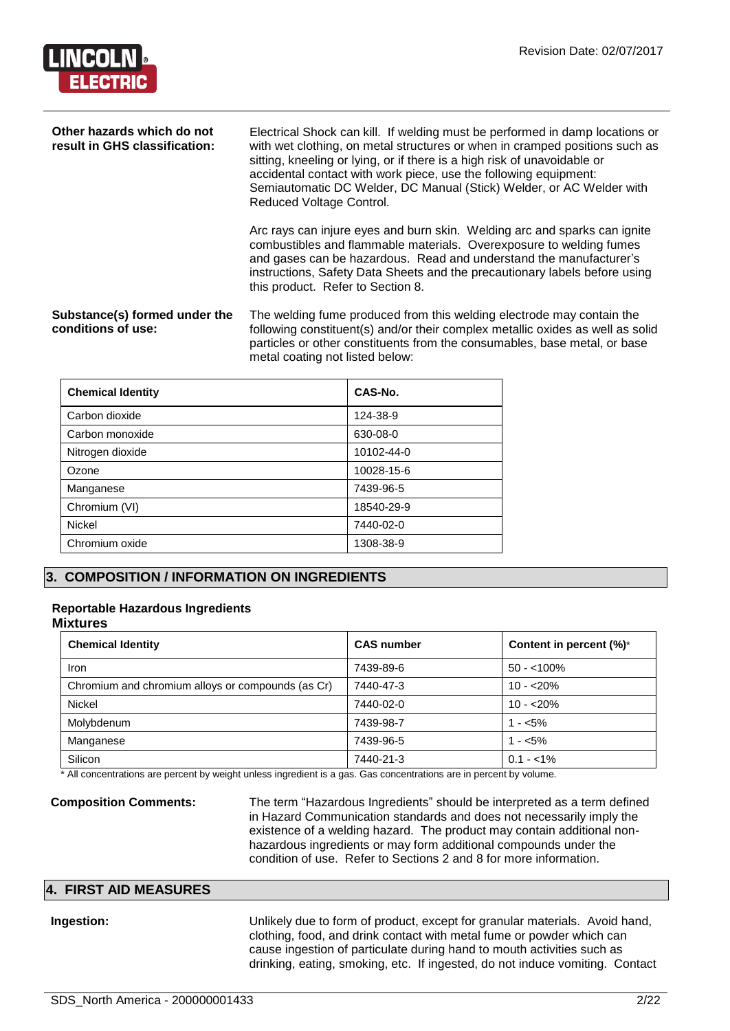

| Other hazards which do not<br>result in GHS classification: | Electrical Shock can kill. If welding must be performed in damp locations or<br>with wet clothing, on metal structures or when in cramped positions such as<br>sitting, kneeling or lying, or if there is a high risk of unavoidable or<br>accidental contact with work piece, use the following equipment:<br>Semiautomatic DC Welder, DC Manual (Stick) Welder, or AC Welder with<br>Reduced Voltage Control. |  |
|-------------------------------------------------------------|-----------------------------------------------------------------------------------------------------------------------------------------------------------------------------------------------------------------------------------------------------------------------------------------------------------------------------------------------------------------------------------------------------------------|--|
|                                                             | Arc rays can injure eyes and burn skin. Welding arc and sparks can ignite<br>combustibles and flammable materials. Overexposure to welding fumes<br>and gases can be hazardous. Read and understand the manufacturer's<br>instructions, Safety Data Sheets and the precautionary labels before using<br>this product. Refer to Section 8.                                                                       |  |
| Substance(s) formed under the<br>conditions of use:         | The welding fume produced from this welding electrode may contain the<br>following constituent(s) and/or their complex metallic oxides as well as solid<br>particles or other constituents from the consumables, base metal, or base<br>metal coating not listed below:                                                                                                                                         |  |

| <b>Chemical Identity</b> | CAS-No.    |
|--------------------------|------------|
| Carbon dioxide           | 124-38-9   |
| Carbon monoxide          | 630-08-0   |
| Nitrogen dioxide         | 10102-44-0 |
| Ozone                    | 10028-15-6 |
| Manganese                | 7439-96-5  |
| Chromium (VI)            | 18540-29-9 |
| <b>Nickel</b>            | 7440-02-0  |
| Chromium oxide           | 1308-38-9  |

#### **3. COMPOSITION / INFORMATION ON INGREDIENTS**

#### **Reportable Hazardous Ingredients**

#### **Mixtures**

| <b>Chemical Identity</b>                          | <b>CAS number</b> | Content in percent (%)* |
|---------------------------------------------------|-------------------|-------------------------|
| Iron                                              | 7439-89-6         | $50 - 100\%$            |
| Chromium and chromium alloys or compounds (as Cr) | 7440-47-3         | $10 - 20%$              |
| <b>Nickel</b>                                     | 7440-02-0         | $10 - 20%$              |
| Molybdenum                                        | 7439-98-7         | $1 - 5\%$               |
| Manganese                                         | 7439-96-5         | $1 - 5\%$               |
| Silicon                                           | 7440-21-3         | $0.1 - 1\%$             |

All concentrations are percent by weight unless ingredient is a gas. Gas concentrations are in percent by volume.

**Composition Comments:** The term "Hazardous Ingredients" should be interpreted as a term defined in Hazard Communication standards and does not necessarily imply the existence of a welding hazard. The product may contain additional nonhazardous ingredients or may form additional compounds under the condition of use. Refer to Sections 2 and 8 for more information.

#### **4. FIRST AID MEASURES**

**Ingestion:** Unlikely due to form of product, except for granular materials. Avoid hand, clothing, food, and drink contact with metal fume or powder which can cause ingestion of particulate during hand to mouth activities such as drinking, eating, smoking, etc. If ingested, do not induce vomiting. Contact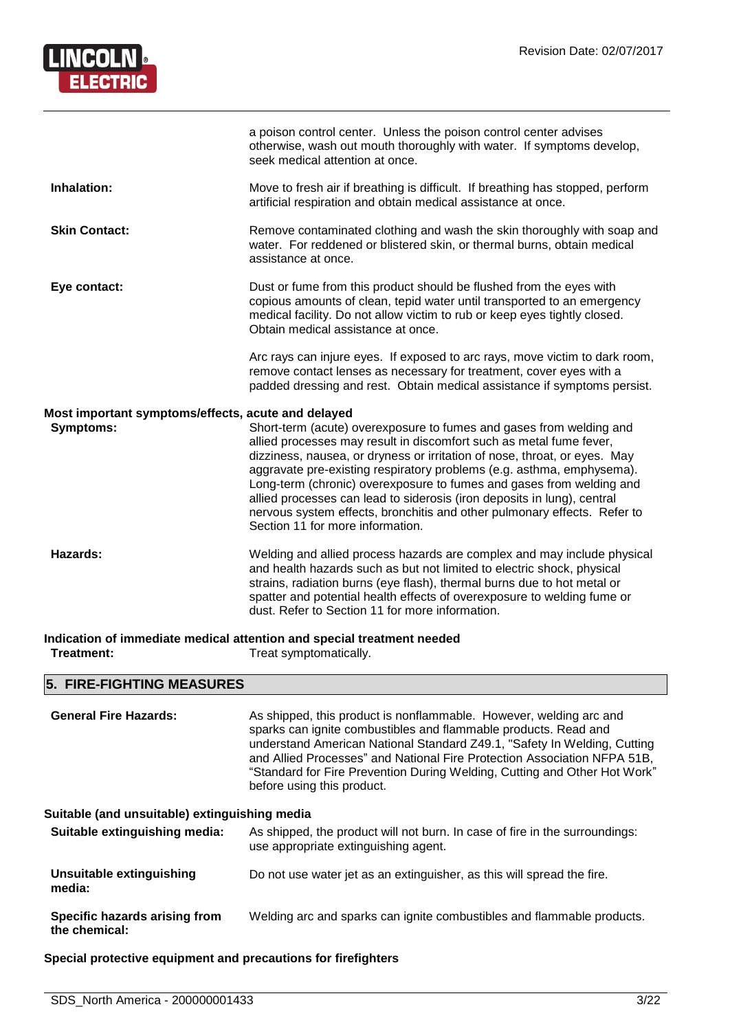

|                                                                        | a poison control center. Unless the poison control center advises<br>otherwise, wash out mouth thoroughly with water. If symptoms develop,<br>seek medical attention at once.                                                                                                                                                                                                                                                                                                                                                                                       |
|------------------------------------------------------------------------|---------------------------------------------------------------------------------------------------------------------------------------------------------------------------------------------------------------------------------------------------------------------------------------------------------------------------------------------------------------------------------------------------------------------------------------------------------------------------------------------------------------------------------------------------------------------|
| Inhalation:                                                            | Move to fresh air if breathing is difficult. If breathing has stopped, perform<br>artificial respiration and obtain medical assistance at once.                                                                                                                                                                                                                                                                                                                                                                                                                     |
| <b>Skin Contact:</b>                                                   | Remove contaminated clothing and wash the skin thoroughly with soap and<br>water. For reddened or blistered skin, or thermal burns, obtain medical<br>assistance at once.                                                                                                                                                                                                                                                                                                                                                                                           |
| Eye contact:                                                           | Dust or fume from this product should be flushed from the eyes with<br>copious amounts of clean, tepid water until transported to an emergency<br>medical facility. Do not allow victim to rub or keep eyes tightly closed.<br>Obtain medical assistance at once.                                                                                                                                                                                                                                                                                                   |
|                                                                        | Arc rays can injure eyes. If exposed to arc rays, move victim to dark room,<br>remove contact lenses as necessary for treatment, cover eyes with a<br>padded dressing and rest. Obtain medical assistance if symptoms persist.                                                                                                                                                                                                                                                                                                                                      |
| Most important symptoms/effects, acute and delayed<br><b>Symptoms:</b> | Short-term (acute) overexposure to fumes and gases from welding and<br>allied processes may result in discomfort such as metal fume fever,<br>dizziness, nausea, or dryness or irritation of nose, throat, or eyes. May<br>aggravate pre-existing respiratory problems (e.g. asthma, emphysema).<br>Long-term (chronic) overexposure to fumes and gases from welding and<br>allied processes can lead to siderosis (iron deposits in lung), central<br>nervous system effects, bronchitis and other pulmonary effects. Refer to<br>Section 11 for more information. |
| Hazards:                                                               | Welding and allied process hazards are complex and may include physical<br>and health hazards such as but not limited to electric shock, physical<br>strains, radiation burns (eye flash), thermal burns due to hot metal or<br>spatter and potential health effects of overexposure to welding fume or<br>dust. Refer to Section 11 for more information.                                                                                                                                                                                                          |
| Treatment:                                                             | Indication of immediate medical attention and special treatment needed<br>Treat symptomatically.                                                                                                                                                                                                                                                                                                                                                                                                                                                                    |
| E.<br><b>CIDE CICUTING MEACHDES</b>                                    |                                                                                                                                                                                                                                                                                                                                                                                                                                                                                                                                                                     |

#### **5. FIRE-FIGHTING MEASURES**

| <b>General Fire Hazards:</b>                   | As shipped, this product is nonflammable. However, welding arc and<br>sparks can ignite combustibles and flammable products. Read and<br>understand American National Standard Z49.1, "Safety In Welding, Cutting<br>and Allied Processes" and National Fire Protection Association NFPA 51B,<br>"Standard for Fire Prevention During Welding, Cutting and Other Hot Work"<br>before using this product. |
|------------------------------------------------|----------------------------------------------------------------------------------------------------------------------------------------------------------------------------------------------------------------------------------------------------------------------------------------------------------------------------------------------------------------------------------------------------------|
| Suitable (and unsuitable) extinguishing media  |                                                                                                                                                                                                                                                                                                                                                                                                          |
| Suitable extinguishing media:                  | As shipped, the product will not burn. In case of fire in the surroundings:<br>use appropriate extinguishing agent.                                                                                                                                                                                                                                                                                      |
| Unsuitable extinguishing<br>media:             | Do not use water jet as an extinguisher, as this will spread the fire.                                                                                                                                                                                                                                                                                                                                   |
| Specific hazards arising from<br>the chemical: | Welding arc and sparks can ignite combustibles and flammable products.                                                                                                                                                                                                                                                                                                                                   |

#### **Special protective equipment and precautions for firefighters**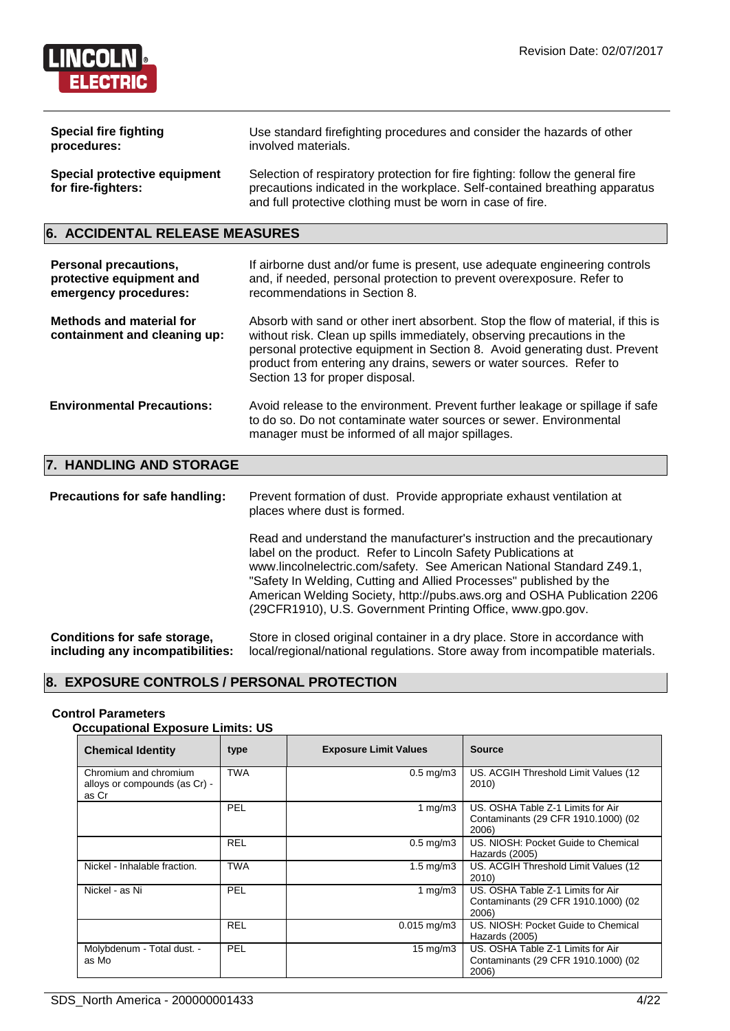

| <b>Special fire fighting</b>                              | Use standard firefighting procedures and consider the hazards of other                                                                                                                                                     |
|-----------------------------------------------------------|----------------------------------------------------------------------------------------------------------------------------------------------------------------------------------------------------------------------------|
| procedures:                                               | involved materials.                                                                                                                                                                                                        |
| <b>Special protective equipment</b><br>for fire-fighters: | Selection of respiratory protection for fire fighting: follow the general fire<br>precautions indicated in the workplace. Self-contained breathing apparatus<br>and full protective clothing must be worn in case of fire. |

#### **6. ACCIDENTAL RELEASE MEASURES**

| <b>Personal precautions,</b><br>protective equipment and<br>emergency procedures: | If airborne dust and/or fume is present, use adequate engineering controls<br>and, if needed, personal protection to prevent overexposure. Refer to<br>recommendations in Section 8.                                                                                                                                                                |
|-----------------------------------------------------------------------------------|-----------------------------------------------------------------------------------------------------------------------------------------------------------------------------------------------------------------------------------------------------------------------------------------------------------------------------------------------------|
| <b>Methods and material for</b><br>containment and cleaning up:                   | Absorb with sand or other inert absorbent. Stop the flow of material, if this is<br>without risk. Clean up spills immediately, observing precautions in the<br>personal protective equipment in Section 8. Avoid generating dust. Prevent<br>product from entering any drains, sewers or water sources. Refer to<br>Section 13 for proper disposal. |
| <b>Environmental Precautions:</b>                                                 | Avoid release to the environment. Prevent further leakage or spillage if safe<br>to do so. Do not contaminate water sources or sewer. Environmental<br>manager must be informed of all major spillages.                                                                                                                                             |
| 7. HANDI ING AND STORAGF                                                          |                                                                                                                                                                                                                                                                                                                                                     |

#### **7. HANDLING AND STORAGE**

**Precautions for safe handling:** Prevent formation of dust. Provide appropriate exhaust ventilation at places where dust is formed. Read and understand the manufacturer's instruction and the precautionary label on the product. Refer to Lincoln Safety Publications at www.lincolnelectric.com/safety. See American National Standard Z49.1, "Safety In Welding, Cutting and Allied Processes" published by the American Welding Society, http://pubs.aws.org and OSHA Publication 2206 (29CFR1910), U.S. Government Printing Office, www.gpo.gov. **Conditions for safe storage, including any incompatibilities:** Store in closed original container in a dry place. Store in accordance with local/regional/national regulations. Store away from incompatible materials.

#### **8. EXPOSURE CONTROLS / PERSONAL PROTECTION**

#### **Control Parameters**

#### **Occupational Exposure Limits: US**

| <b>Chemical Identity</b>                                        | type       | <b>Exposure Limit Values</b> | <b>Source</b>                                                                     |
|-----------------------------------------------------------------|------------|------------------------------|-----------------------------------------------------------------------------------|
| Chromium and chromium<br>alloys or compounds (as Cr) -<br>as Cr | <b>TWA</b> | $0.5$ mg/m $3$               | US. ACGIH Threshold Limit Values (12<br>2010)                                     |
|                                                                 | PEL        | 1 $mq/m3$                    | US. OSHA Table Z-1 Limits for Air<br>Contaminants (29 CFR 1910.1000) (02<br>2006) |
|                                                                 | <b>REL</b> | $0.5$ mg/m $3$               | US. NIOSH: Pocket Guide to Chemical<br>Hazards (2005)                             |
| Nickel - Inhalable fraction.                                    | <b>TWA</b> | $1.5 \text{ mg/m}$ 3         | US. ACGIH Threshold Limit Values (12<br>2010)                                     |
| Nickel - as Ni                                                  | PEL        | 1 $mq/m3$                    | US. OSHA Table Z-1 Limits for Air<br>Contaminants (29 CFR 1910.1000) (02<br>2006) |
|                                                                 | <b>REL</b> | $0.015$ mg/m3                | US. NIOSH: Pocket Guide to Chemical<br>Hazards (2005)                             |
| Molybdenum - Total dust. -<br>as Mo                             | PEL        | $15 \text{ mg/m}$            | US. OSHA Table Z-1 Limits for Air<br>Contaminants (29 CFR 1910.1000) (02<br>2006) |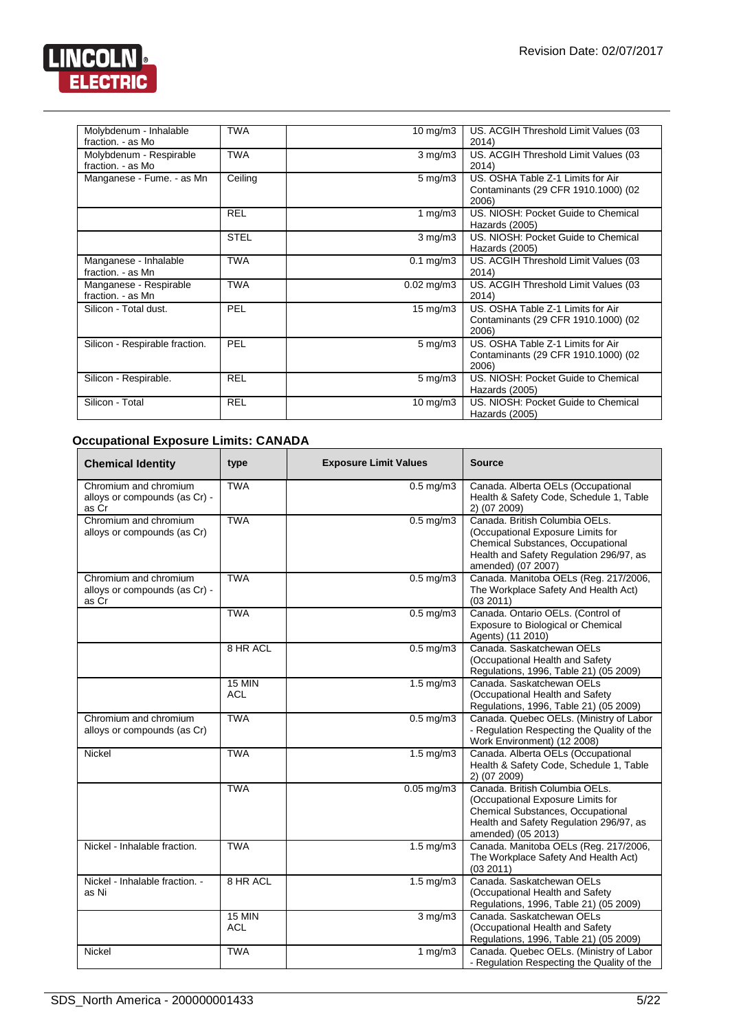

| Molybdenum - Inhalable<br>fraction. - as Mo  | <b>TWA</b>  | $10 \text{ mg/m}$       | US. ACGIH Threshold Limit Values (03<br>2014)                                     |
|----------------------------------------------|-------------|-------------------------|-----------------------------------------------------------------------------------|
| Molybdenum - Respirable<br>fraction. - as Mo | <b>TWA</b>  | $3 \text{ mg/m}$        | US. ACGIH Threshold Limit Values (03<br>2014)                                     |
| Manganese - Fume. - as Mn                    | Ceiling     | $5 \,\mathrm{mg/m}$     | US. OSHA Table Z-1 Limits for Air<br>Contaminants (29 CFR 1910.1000) (02<br>2006) |
|                                              | <b>REL</b>  | 1 mg/m $3$              | US. NIOSH: Pocket Guide to Chemical<br>Hazards (2005)                             |
|                                              | <b>STEL</b> | $3 \text{ mg/m}$        | US. NIOSH: Pocket Guide to Chemical<br>Hazards (2005)                             |
| Manganese - Inhalable<br>fraction. - as Mn   | <b>TWA</b>  | $0.1 \text{ mg/m}$ 3    | US. ACGIH Threshold Limit Values (03<br>2014)                                     |
| Manganese - Respirable<br>fraction. - as Mn  | <b>TWA</b>  | $0.02 \,\mathrm{mg/m3}$ | US. ACGIH Threshold Limit Values (03<br>2014)                                     |
| Silicon - Total dust.                        | PEL         | $15 \text{ mg/m}$       | US. OSHA Table Z-1 Limits for Air<br>Contaminants (29 CFR 1910.1000) (02<br>2006) |
| Silicon - Respirable fraction.               | PEL         | $5 \,\mathrm{mg/m}$     | US. OSHA Table Z-1 Limits for Air<br>Contaminants (29 CFR 1910.1000) (02<br>2006) |
| Silicon - Respirable.                        | <b>REL</b>  | $5 \,\mathrm{mg/m}$     | US. NIOSH: Pocket Guide to Chemical<br>Hazards (2005)                             |
| Silicon - Total                              | <b>REL</b>  | 10 mg/m $3$             | US. NIOSH: Pocket Guide to Chemical<br>Hazards (2005)                             |

### **Occupational Exposure Limits: CANADA**

| <b>Chemical Identity</b>                                        | type                        | <b>Exposure Limit Values</b> | <b>Source</b>                                                                                                                                                             |
|-----------------------------------------------------------------|-----------------------------|------------------------------|---------------------------------------------------------------------------------------------------------------------------------------------------------------------------|
| Chromium and chromium<br>alloys or compounds (as Cr) -<br>as Cr | <b>TWA</b>                  | $0.5$ mg/m $3$               | Canada. Alberta OELs (Occupational<br>Health & Safety Code, Schedule 1, Table<br>2) (07 2009)                                                                             |
| Chromium and chromium<br>alloys or compounds (as Cr)            | <b>TWA</b>                  | $0.5$ mg/m $3$               | Canada, British Columbia OELs.<br>(Occupational Exposure Limits for<br>Chemical Substances, Occupational<br>Health and Safety Regulation 296/97, as<br>amended) (07 2007) |
| Chromium and chromium<br>alloys or compounds (as Cr) -<br>as Cr | <b>TWA</b>                  | $0.5$ mg/m $3$               | Canada. Manitoba OELs (Reg. 217/2006,<br>The Workplace Safety And Health Act)<br>(03 2011)                                                                                |
|                                                                 | <b>TWA</b>                  | $0.5$ mg/m $3$               | Canada. Ontario OELs. (Control of<br>Exposure to Biological or Chemical<br>Agents) (11 2010)                                                                              |
|                                                                 | 8 HR ACL                    | $0.5$ mg/m $3$               | Canada, Saskatchewan OELs<br>(Occupational Health and Safety<br>Regulations, 1996, Table 21) (05 2009)                                                                    |
|                                                                 | <b>15 MIN</b><br><b>ACL</b> | $1.5 \text{ mg/m}$ 3         | Canada, Saskatchewan OELs<br>(Occupational Health and Safety<br>Regulations, 1996, Table 21) (05 2009)                                                                    |
| Chromium and chromium<br>alloys or compounds (as Cr)            | <b>TWA</b>                  | $0.5$ mg/m $3$               | Canada. Quebec OELs. (Ministry of Labor<br>- Regulation Respecting the Quality of the<br>Work Environment) (12 2008)                                                      |
| Nickel                                                          | <b>TWA</b>                  | $1.5$ mg/m $3$               | Canada. Alberta OELs (Occupational<br>Health & Safety Code, Schedule 1, Table<br>2) (07 2009)                                                                             |
|                                                                 | <b>TWA</b>                  | $0.05 \,\mathrm{mg/m}$ 3     | Canada, British Columbia OELs.<br>(Occupational Exposure Limits for<br>Chemical Substances, Occupational<br>Health and Safety Regulation 296/97, as<br>amended) (05 2013) |
| Nickel - Inhalable fraction.                                    | <b>TWA</b>                  | $1.5 \text{ mg/m}$ 3         | Canada. Manitoba OELs (Reg. 217/2006,<br>The Workplace Safety And Health Act)<br>(032011)                                                                                 |
| Nickel - Inhalable fraction. -<br>as Ni                         | 8 HR ACL                    | $1.5 \text{ mg/m}$ 3         | Canada, Saskatchewan OELs<br>(Occupational Health and Safety<br>Regulations, 1996, Table 21) (05 2009)                                                                    |
|                                                                 | <b>15 MIN</b><br><b>ACL</b> | $3$ mg/m $3$                 | Canada. Saskatchewan OELs<br>(Occupational Health and Safety<br>Regulations, 1996, Table 21) (05 2009)                                                                    |
| Nickel                                                          | <b>TWA</b>                  | 1 $mg/m3$                    | Canada. Quebec OELs. (Ministry of Labor<br>- Regulation Respecting the Quality of the                                                                                     |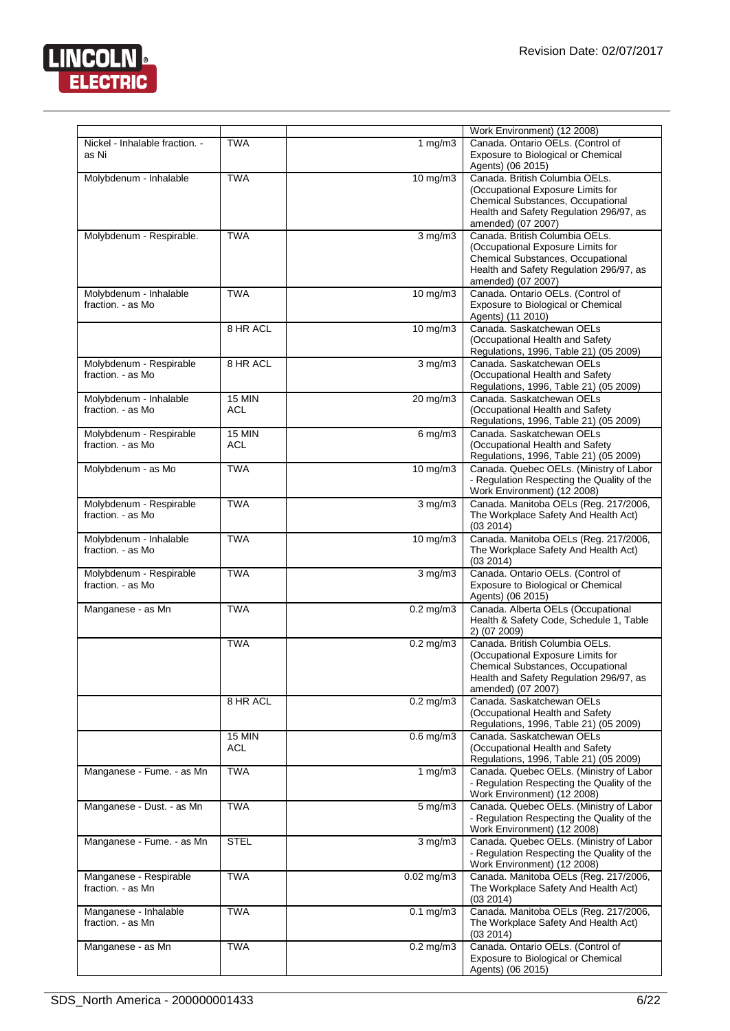

| Nickel - Inhalable fraction. -<br>as Ni      | <b>TWA</b>           | 1 $mg/m3$              | Work Environment) (12 2008)<br>Canada. Ontario OELs. (Control of<br>Exposure to Biological or Chemical                                                                                         |
|----------------------------------------------|----------------------|------------------------|------------------------------------------------------------------------------------------------------------------------------------------------------------------------------------------------|
| Molybdenum - Inhalable                       | <b>TWA</b>           | 10 mg/m3               | Agents) (06 2015)<br>Canada. British Columbia OELs.<br>(Occupational Exposure Limits for<br>Chemical Substances, Occupational<br>Health and Safety Regulation 296/97, as<br>amended) (07 2007) |
| Molybdenum - Respirable.                     | <b>TWA</b>           | $3$ mg/m $3$           | Canada, British Columbia OELs.<br>(Occupational Exposure Limits for<br>Chemical Substances, Occupational<br>Health and Safety Regulation 296/97, as<br>amended) (07 2007)                      |
| Molybdenum - Inhalable<br>fraction. - as Mo  | <b>TWA</b>           | 10 mg/m3               | Canada. Ontario OELs. (Control of<br>Exposure to Biological or Chemical<br>Agents) (11 2010)                                                                                                   |
|                                              | 8 HR ACL             | $10 \text{ mg/m}$      | Canada. Saskatchewan OELs<br>(Occupational Health and Safety<br>Regulations, 1996, Table 21) (05 2009)                                                                                         |
| Molybdenum - Respirable<br>fraction. - as Mo | 8 HR ACL             | $3$ mg/m $3$           | Canada. Saskatchewan OELs<br>(Occupational Health and Safety<br>Regulations, 1996, Table 21) (05 2009)                                                                                         |
| Molybdenum - Inhalable<br>fraction. - as Mo  | <b>15 MIN</b><br>ACL | 20 mg/m3               | Canada, Saskatchewan OELs<br>(Occupational Health and Safety<br>Regulations, 1996, Table 21) (05 2009)                                                                                         |
| Molybdenum - Respirable<br>fraction. - as Mo | <b>15 MIN</b><br>ACL | $6 \,\mathrm{mg/m}$    | Canada, Saskatchewan OELs<br>(Occupational Health and Safety<br>Regulations, 1996, Table 21) (05 2009)                                                                                         |
| Molybdenum - as Mo                           | <b>TWA</b>           | 10 mg/m3               | Canada. Quebec OELs. (Ministry of Labor<br>- Regulation Respecting the Quality of the<br>Work Environment) (12 2008)                                                                           |
| Molybdenum - Respirable<br>fraction. - as Mo | <b>TWA</b>           | $3$ mg/m $3$           | Canada. Manitoba OELs (Reg. 217/2006,<br>The Workplace Safety And Health Act)<br>(03 2014)                                                                                                     |
| Molybdenum - Inhalable<br>fraction. - as Mo  | <b>TWA</b>           | $10$ mg/m $3$          | Canada. Manitoba OELs (Reg. 217/2006,<br>The Workplace Safety And Health Act)<br>(03 2014)                                                                                                     |
| Molybdenum - Respirable<br>fraction. - as Mo | <b>TWA</b>           | $3$ mg/m $3$           | Canada. Ontario OELs. (Control of<br>Exposure to Biological or Chemical<br>Agents) (06 2015)                                                                                                   |
| Manganese - as Mn                            | <b>TWA</b>           | $\overline{0.2}$ mg/m3 | Canada. Alberta OELs (Occupational<br>Health & Safety Code, Schedule 1, Table<br>2) (07 2009)                                                                                                  |
|                                              | <b>TWA</b>           | $0.2 \text{ mg/m}$ 3   | Canada, British Columbia OELs.<br>(Occupational Exposure Limits for<br><b>Chemical Substances, Occupational</b><br>Health and Safety Regulation 296/97, as<br>amended) (07 2007)               |
|                                              | 8 HR ACL             | $0.2$ mg/m $3$         | Canada. Saskatchewan OELs<br>(Occupational Health and Safety<br>Regulations, 1996, Table 21) (05 2009)                                                                                         |
|                                              | <b>15 MIN</b><br>ACL | $0.6$ mg/m $3$         | Canada. Saskatchewan OELs<br>(Occupational Health and Safety<br>Regulations, 1996, Table 21) (05 2009)                                                                                         |
| Manganese - Fume. - as Mn                    | <b>TWA</b>           | 1 $mg/m3$              | Canada. Quebec OELs. (Ministry of Labor<br>- Regulation Respecting the Quality of the<br>Work Environment) (12 2008)                                                                           |
| Manganese - Dust. - as Mn                    | <b>TWA</b>           | $5 \text{ mg/m}$       | Canada. Quebec OELs. (Ministry of Labor<br>- Regulation Respecting the Quality of the<br>Work Environment) (12 2008)                                                                           |
| Manganese - Fume. - as Mn                    | <b>STEL</b>          | $3$ mg/m $3$           | Canada. Quebec OELs. (Ministry of Labor<br>- Regulation Respecting the Quality of the<br>Work Environment) (12 2008)                                                                           |
| Manganese - Respirable<br>fraction. - as Mn  | <b>TWA</b>           | $0.02$ mg/m $3$        | Canada. Manitoba OELs (Reg. 217/2006,<br>The Workplace Safety And Health Act)<br>(03 2014)                                                                                                     |
| Manganese - Inhalable<br>fraction. - as Mn   | <b>TWA</b>           | $0.1$ mg/m $3$         | Canada. Manitoba OELs (Reg. 217/2006,<br>The Workplace Safety And Health Act)<br>(03 2014)                                                                                                     |
| Manganese - as Mn                            | <b>TWA</b>           | $0.2$ mg/m $3$         | Canada. Ontario OELs. (Control of<br>Exposure to Biological or Chemical<br>Agents) (06 2015)                                                                                                   |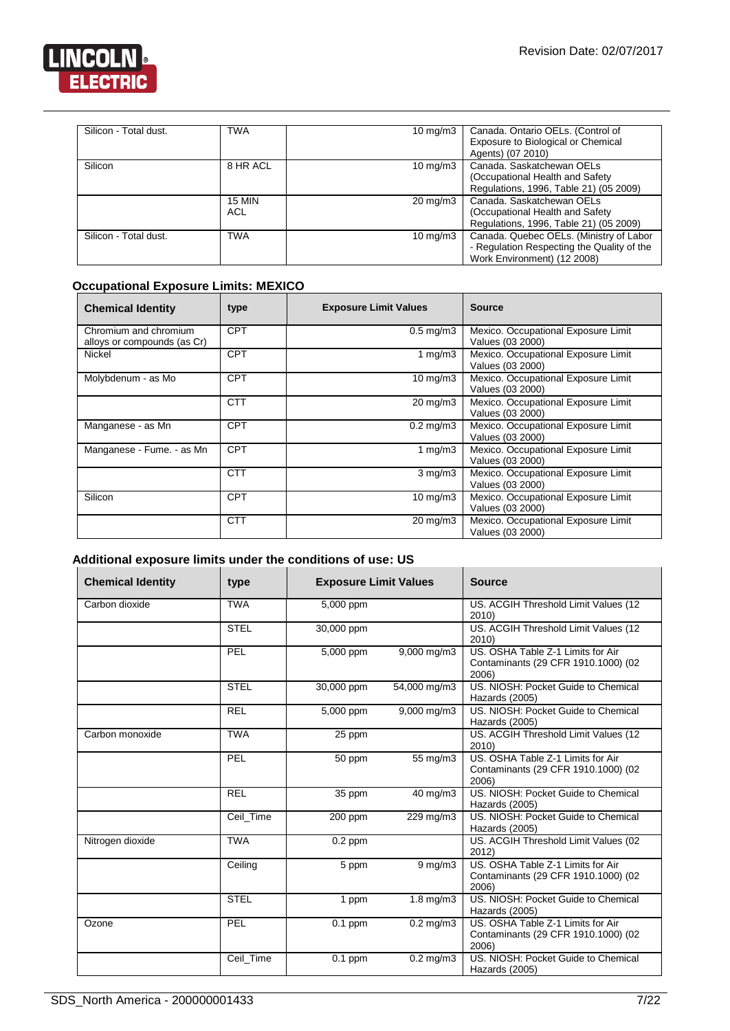

| Silicon - Total dust. | <b>TWA</b>           | 10 mg/m $3$         | Canada. Ontario OELs. (Control of<br>Exposure to Biological or Chemical                                              |
|-----------------------|----------------------|---------------------|----------------------------------------------------------------------------------------------------------------------|
| Silicon               | 8 HR ACL             | $10 \text{ mg/m}$   | Agents) (07 2010)<br>Canada, Saskatchewan OELs                                                                       |
|                       |                      |                     | (Occupational Health and Safety)<br>Regulations, 1996, Table 21) (05 2009)                                           |
|                       | <b>15 MIN</b><br>ACL | $20 \text{ mg/m}$ 3 | Canada, Saskatchewan OELs<br>(Occupational Health and Safety)<br>Regulations, 1996, Table 21) (05 2009)              |
| Silicon - Total dust. | <b>TWA</b>           | $10 \text{ mg/m}$   | Canada. Quebec OELs. (Ministry of Labor<br>- Regulation Respecting the Quality of the<br>Work Environment) (12 2008) |

#### **Occupational Exposure Limits: MEXICO**

| <b>Chemical Identity</b>                             | type       | <b>Exposure Limit Values</b> | <b>Source</b>                                           |
|------------------------------------------------------|------------|------------------------------|---------------------------------------------------------|
| Chromium and chromium<br>alloys or compounds (as Cr) | <b>CPT</b> | $0.5 \text{ mg/m}$ 3         | Mexico. Occupational Exposure Limit<br>Values (03 2000) |
| Nickel                                               | <b>CPT</b> | 1 mg/m $3$                   | Mexico. Occupational Exposure Limit<br>Values (03 2000) |
| Molybdenum - as Mo                                   | <b>CPT</b> | $10 \text{ mg/m}$            | Mexico. Occupational Exposure Limit<br>Values (03 2000) |
|                                                      | <b>CTT</b> | $20 \text{ mg/m}$            | Mexico. Occupational Exposure Limit<br>Values (03 2000) |
| Manganese - as Mn                                    | <b>CPT</b> | $0.2 \text{ mg/m}$ 3         | Mexico. Occupational Exposure Limit<br>Values (03 2000) |
| Manganese - Fume. - as Mn                            | <b>CPT</b> | 1 mg/m $3$                   | Mexico. Occupational Exposure Limit<br>Values (03 2000) |
|                                                      | <b>CTT</b> | $3$ mg/m $3$                 | Mexico. Occupational Exposure Limit<br>Values (03 2000) |
| Silicon                                              | <b>CPT</b> | $10 \text{ mg/m}$            | Mexico. Occupational Exposure Limit<br>Values (03 2000) |
|                                                      | <b>CTT</b> | $20 \text{ mg/m}$            | Mexico. Occupational Exposure Limit<br>Values (03 2000) |

### **Additional exposure limits under the conditions of use: US**

| <b>Chemical Identity</b> | type        | <b>Exposure Limit Values</b> |                         | <b>Source</b>                                                                     |
|--------------------------|-------------|------------------------------|-------------------------|-----------------------------------------------------------------------------------|
| Carbon dioxide           | <b>TWA</b>  | 5,000 ppm                    |                         | US. ACGIH Threshold Limit Values (12<br>2010)                                     |
|                          | <b>STEL</b> | 30,000 ppm                   |                         | US. ACGIH Threshold Limit Values (12<br>2010)                                     |
|                          | PEL         | 5,000 ppm                    | $9,000 \,\mathrm{mg/m}$ | US. OSHA Table Z-1 Limits for Air<br>Contaminants (29 CFR 1910.1000) (02<br>2006) |
|                          | <b>STEL</b> | 30,000 ppm                   | 54,000 mg/m3            | US. NIOSH: Pocket Guide to Chemical<br>Hazards (2005)                             |
|                          | <b>REL</b>  | 5,000 ppm                    | 9,000 mg/m3             | US. NIOSH: Pocket Guide to Chemical<br>Hazards (2005)                             |
| Carbon monoxide          | <b>TWA</b>  | 25 ppm                       |                         | US. ACGIH Threshold Limit Values (12<br>2010)                                     |
|                          | PEL         | 50 ppm                       | 55 mg/m3                | US. OSHA Table Z-1 Limits for Air<br>Contaminants (29 CFR 1910.1000) (02<br>2006) |
|                          | <b>REL</b>  | 35 ppm                       | 40 mg/m3                | US. NIOSH: Pocket Guide to Chemical<br>Hazards (2005)                             |
|                          | Ceil Time   | 200 ppm                      | 229 mg/m3               | US. NIOSH: Pocket Guide to Chemical<br>Hazards (2005)                             |
| Nitrogen dioxide         | <b>TWA</b>  | $0.2$ ppm                    |                         | US. ACGIH Threshold Limit Values (02<br>2012)                                     |
|                          | Ceiling     | 5 ppm                        | $9$ mg/m $3$            | US. OSHA Table Z-1 Limits for Air<br>Contaminants (29 CFR 1910.1000) (02<br>2006) |
|                          | <b>STEL</b> | 1 ppm                        | $1.8 \text{ mg/m}$      | US. NIOSH: Pocket Guide to Chemical<br>Hazards (2005)                             |
| Ozone                    | PEL         | $0.1$ ppm                    | $0.2$ mg/m $3$          | US. OSHA Table Z-1 Limits for Air<br>Contaminants (29 CFR 1910.1000) (02<br>2006) |
|                          | Ceil_Time   | $0.1$ ppm                    | $0.2$ mg/m $3$          | US. NIOSH: Pocket Guide to Chemical<br>Hazards (2005)                             |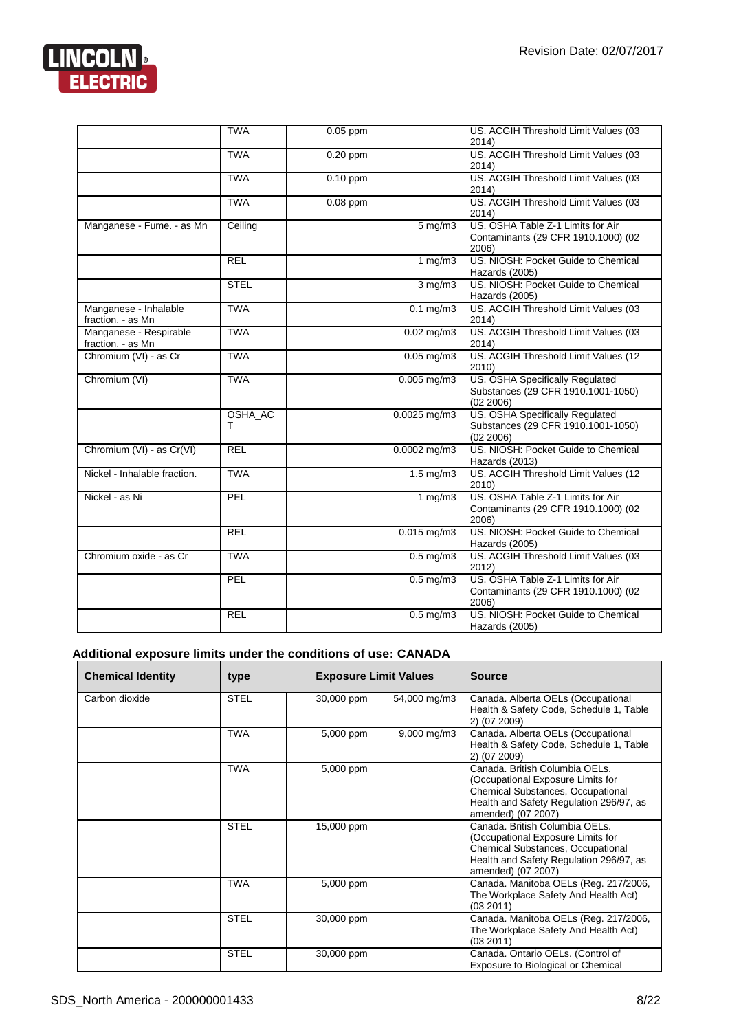

|                                             | <b>TWA</b>   | $0.05$ ppm              | US. ACGIH Threshold Limit Values (03<br>2014)                                      |
|---------------------------------------------|--------------|-------------------------|------------------------------------------------------------------------------------|
|                                             | <b>TWA</b>   | $0.20$ ppm              | US. ACGIH Threshold Limit Values (03<br>2014)                                      |
|                                             | <b>TWA</b>   | $0.10$ ppm              | US. ACGIH Threshold Limit Values (03<br>2014)                                      |
|                                             | <b>TWA</b>   | $0.08$ ppm              | US. ACGIH Threshold Limit Values (03<br>2014)                                      |
| Manganese - Fume. - as Mn                   | Ceiling      | $5 \text{ mg/m}$ 3      | US. OSHA Table Z-1 Limits for Air<br>Contaminants (29 CFR 1910.1000) (02<br>2006)  |
|                                             | <b>REL</b>   | 1 $mg/m3$               | US. NIOSH: Pocket Guide to Chemical<br>Hazards (2005)                              |
|                                             | <b>STEL</b>  | $3$ mg/m $3$            | US. NIOSH: Pocket Guide to Chemical<br>Hazards (2005)                              |
| Manganese - Inhalable<br>fraction. - as Mn  | <b>TWA</b>   | $0.1$ mg/m $3$          | US. ACGIH Threshold Limit Values (03<br>2014)                                      |
| Manganese - Respirable<br>fraction. - as Mn | <b>TWA</b>   | $0.02 \,\mathrm{mq/m3}$ | US. ACGIH Threshold Limit Values (03<br>2014)                                      |
| Chromium (VI) - as Cr                       | <b>TWA</b>   | $0.05$ mg/m $3$         | US. ACGIH Threshold Limit Values (12<br>2010)                                      |
| Chromium (VI)                               | <b>TWA</b>   | $0.005$ mg/m $3$        | US. OSHA Specifically Regulated<br>Substances (29 CFR 1910.1001-1050)<br>(02 2006) |
|                                             | OSHA_AC<br>т | $0.0025$ mg/m3          | US. OSHA Specifically Regulated<br>Substances (29 CFR 1910.1001-1050)<br>(02 2006) |
| Chromium (VI) - as Cr(VI)                   | <b>REL</b>   | $0.0002$ mg/m3          | US. NIOSH: Pocket Guide to Chemical<br>Hazards (2013)                              |
| Nickel - Inhalable fraction.                | <b>TWA</b>   | $1.5 \text{ mg/m}$ 3    | US. ACGIH Threshold Limit Values (12<br>2010)                                      |
| Nickel - as Ni                              | PEL          | 1 $mg/m3$               | US. OSHA Table Z-1 Limits for Air<br>Contaminants (29 CFR 1910.1000) (02<br>2006)  |
|                                             | <b>REL</b>   | $0.015$ mg/m3           | US. NIOSH: Pocket Guide to Chemical<br>Hazards (2005)                              |
| Chromium oxide - as Cr                      | <b>TWA</b>   | $0.5$ mg/m $3$          | US. ACGIH Threshold Limit Values (03<br>2012)                                      |
|                                             | <b>PEL</b>   | $0.5 \text{ mg/m}$      | US. OSHA Table Z-1 Limits for Air<br>Contaminants (29 CFR 1910.1000) (02<br>2006)  |
|                                             | <b>REL</b>   | $\overline{0.5}$ mg/m3  | US. NIOSH: Pocket Guide to Chemical<br>Hazards (2005)                              |

#### **Additional exposure limits under the conditions of use: CANADA**

| <b>Chemical Identity</b> | type        | <b>Exposure Limit Values</b> |                         | <b>Source</b>                                                                                                                                                                    |
|--------------------------|-------------|------------------------------|-------------------------|----------------------------------------------------------------------------------------------------------------------------------------------------------------------------------|
| Carbon dioxide           | <b>STEL</b> | 30,000 ppm                   | 54,000 mg/m3            | Canada. Alberta OELs (Occupational<br>Health & Safety Code, Schedule 1, Table<br>2) (07 2009)                                                                                    |
|                          | <b>TWA</b>  | 5,000 ppm                    | $9,000 \,\mathrm{mg/m}$ | Canada. Alberta OELs (Occupational<br>Health & Safety Code, Schedule 1, Table<br>2) (07 2009)                                                                                    |
|                          | <b>TWA</b>  | 5,000 ppm                    |                         | Canada, British Columbia OELs.<br>(Occupational Exposure Limits for<br>Chemical Substances, Occupational<br>Health and Safety Regulation 296/97, as<br>amended) (07 2007)        |
|                          | <b>STEL</b> | 15,000 ppm                   |                         | Canada, British Columbia OELs.<br>(Occupational Exposure Limits for<br><b>Chemical Substances, Occupational</b><br>Health and Safety Regulation 296/97, as<br>amended) (07 2007) |
|                          | <b>TWA</b>  | 5,000 ppm                    |                         | Canada. Manitoba OELs (Reg. 217/2006,<br>The Workplace Safety And Health Act)<br>(03 2011)                                                                                       |
|                          | <b>STEL</b> | 30,000 ppm                   |                         | Canada. Manitoba OELs (Reg. 217/2006,<br>The Workplace Safety And Health Act)<br>(03 2011)                                                                                       |
|                          | <b>STEL</b> | 30,000 ppm                   |                         | Canada. Ontario OELs. (Control of<br>Exposure to Biological or Chemical                                                                                                          |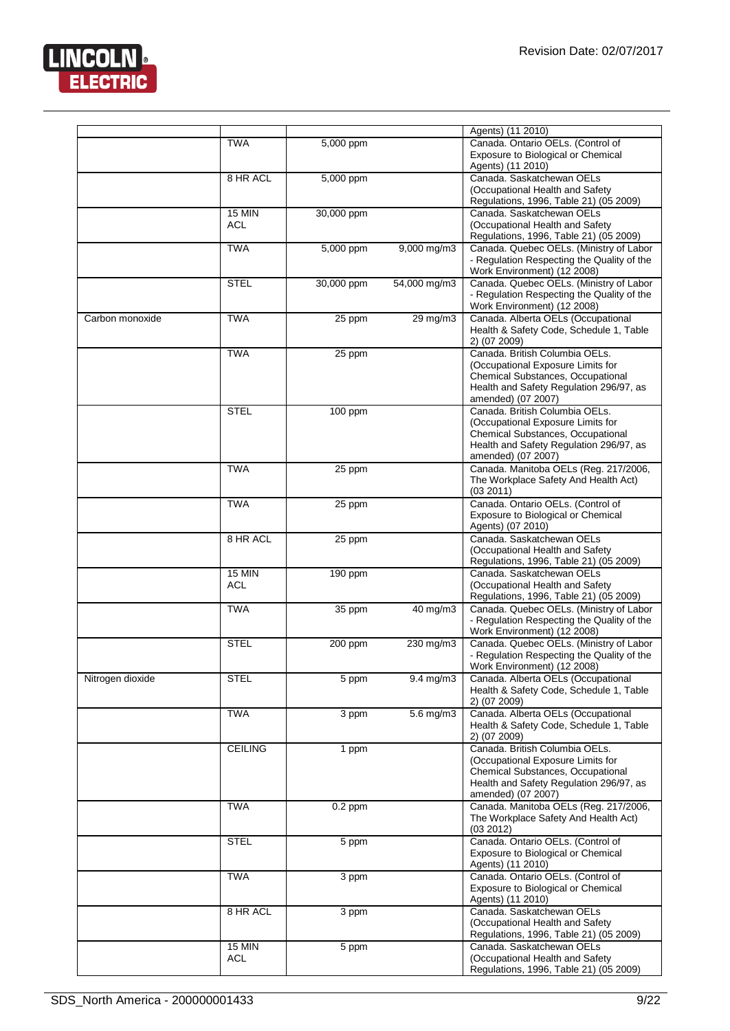

|                  |                             |            |                  | Agents) (11 2010)                                                                                                                                                         |
|------------------|-----------------------------|------------|------------------|---------------------------------------------------------------------------------------------------------------------------------------------------------------------------|
|                  | <b>TWA</b>                  | 5,000 ppm  |                  | Canada. Ontario OELs. (Control of<br>Exposure to Biological or Chemical<br>Agents) (11 2010)                                                                              |
|                  | 8 HR ACL                    | 5,000 ppm  |                  | Canada. Saskatchewan OELs<br>(Occupational Health and Safety<br>Regulations, 1996, Table 21) (05 2009)                                                                    |
|                  | <b>15 MIN</b><br>ACL        | 30,000 ppm |                  | Canada, Saskatchewan OELs<br>(Occupational Health and Safety<br>Regulations, 1996, Table 21) (05 2009)                                                                    |
|                  | TWA                         | 5,000 ppm  | $9,000$ mg/m $3$ | Canada. Quebec OELs. (Ministry of Labor<br>- Regulation Respecting the Quality of the<br>Work Environment) (12 2008)                                                      |
|                  | <b>STEL</b>                 | 30,000 ppm | 54,000 mg/m3     | Canada. Quebec OELs. (Ministry of Labor<br>- Regulation Respecting the Quality of the<br>Work Environment) (12 2008)                                                      |
| Carbon monoxide  | <b>TWA</b>                  | 25 ppm     | 29 mg/m3         | Canada. Alberta OELs (Occupational<br>Health & Safety Code, Schedule 1, Table<br>2) (07 2009)                                                                             |
|                  | <b>TWA</b>                  | 25 ppm     |                  | Canada. British Columbia OELs.<br>(Occupational Exposure Limits for<br>Chemical Substances, Occupational<br>Health and Safety Regulation 296/97, as<br>amended) (07 2007) |
|                  | <b>STEL</b>                 | 100 ppm    |                  | Canada. British Columbia OELs.<br>(Occupational Exposure Limits for<br>Chemical Substances, Occupational<br>Health and Safety Regulation 296/97, as<br>amended) (07 2007) |
|                  | <b>TWA</b>                  | 25 ppm     |                  | Canada. Manitoba OELs (Reg. 217/2006,<br>The Workplace Safety And Health Act)<br>(03 2011)                                                                                |
|                  | <b>TWA</b>                  | 25 ppm     |                  | Canada. Ontario OELs. (Control of<br>Exposure to Biological or Chemical<br>Agents) (07 2010)                                                                              |
|                  | 8 HR ACL                    | 25 ppm     |                  | Canada. Saskatchewan OELs<br>(Occupational Health and Safety<br>Regulations, 1996, Table 21) (05 2009)                                                                    |
|                  | <b>15 MIN</b><br><b>ACL</b> | 190 ppm    |                  | Canada. Saskatchewan OELs<br>(Occupational Health and Safety<br>Regulations, 1996, Table 21) (05 2009)                                                                    |
|                  | <b>TWA</b>                  | 35 ppm     | 40 mg/m3         | Canada. Quebec OELs. (Ministry of Labor<br>- Regulation Respecting the Quality of the<br>Work Environment) (12 2008)                                                      |
|                  | <b>STEL</b>                 | 200 ppm    | 230 mg/m3        | Canada. Quebec OELs. (Ministry of Labor<br>- Regulation Respecting the Quality of the<br>Work Environment) (12 2008)                                                      |
| Nitrogen dioxide | <b>STEL</b>                 | 5 ppm      | 9.4 mg/m3        | Canada. Alberta OELs (Occupational<br>Health & Safety Code, Schedule 1, Table<br>2) (07 2009)                                                                             |
|                  | <b>TWA</b>                  | 3 ppm      | $5.6$ mg/m3      | Canada. Alberta OELs (Occupational<br>Health & Safety Code, Schedule 1, Table<br>2) (07 2009)                                                                             |
|                  | <b>CEILING</b>              | 1 ppm      |                  | Canada. British Columbia OELs.<br>(Occupational Exposure Limits for<br>Chemical Substances, Occupational<br>Health and Safety Regulation 296/97, as<br>amended) (07 2007) |
|                  | <b>TWA</b>                  | $0.2$ ppm  |                  | Canada. Manitoba OELs (Reg. 217/2006,<br>The Workplace Safety And Health Act)<br>(03 2012)                                                                                |
|                  | <b>STEL</b>                 | 5 ppm      |                  | Canada. Ontario OELs. (Control of<br>Exposure to Biological or Chemical<br>Agents) (11 2010)                                                                              |
|                  | <b>TWA</b>                  | 3 ppm      |                  | Canada. Ontario OELs. (Control of<br>Exposure to Biological or Chemical<br>Agents) (11 2010)                                                                              |
|                  | 8 HR ACL                    | 3 ppm      |                  | Canada. Saskatchewan OELs<br>(Occupational Health and Safety<br>Regulations, 1996, Table 21) (05 2009)                                                                    |
|                  | <b>15 MIN</b><br><b>ACL</b> | 5 ppm      |                  | Canada. Saskatchewan OELs<br>(Occupational Health and Safety<br>Regulations, 1996, Table 21) (05 2009)                                                                    |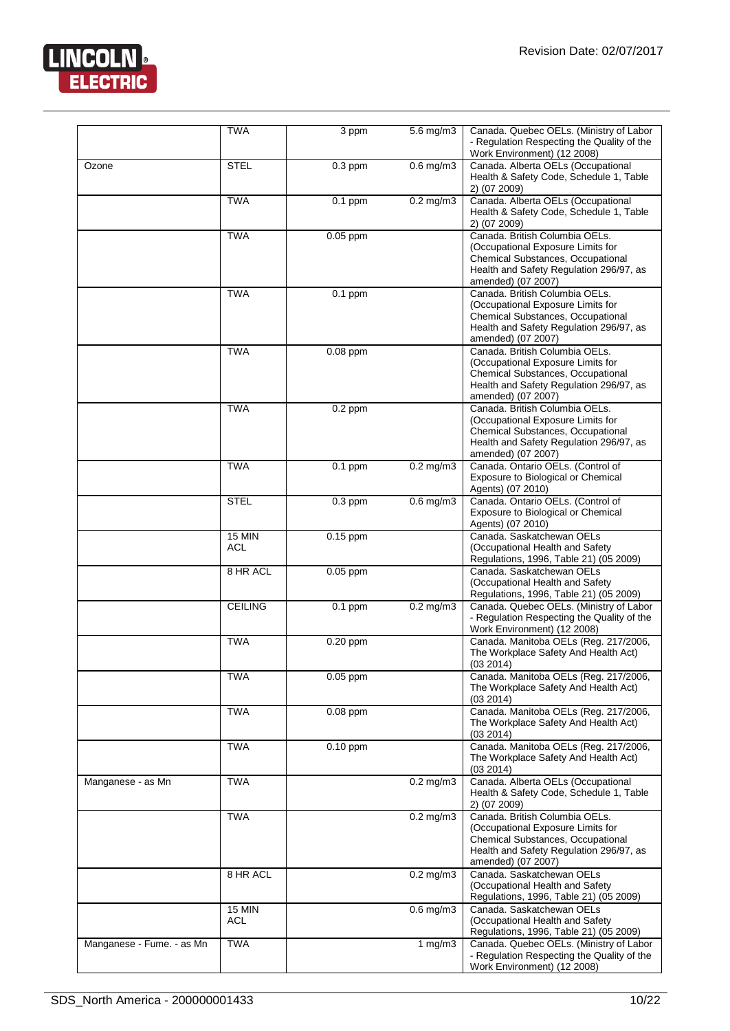

|                           | <b>TWA</b>                  | $\overline{3}$ ppm | $5.6$ mg/m $3$         | Canada. Quebec OELs. (Ministry of Labor<br>- Regulation Respecting the Quality of the<br>Work Environment) (12 2008)                                                      |
|---------------------------|-----------------------------|--------------------|------------------------|---------------------------------------------------------------------------------------------------------------------------------------------------------------------------|
| Ozone                     | <b>STEL</b>                 | $0.3$ ppm          | $0.6$ mg/m $3$         | Canada. Alberta OELs (Occupational<br>Health & Safety Code, Schedule 1, Table<br>2) (07 2009)                                                                             |
|                           | <b>TWA</b>                  | $0.1$ ppm          | $0.2$ mg/m $3$         | Canada. Alberta OELs (Occupational<br>Health & Safety Code, Schedule 1, Table<br>2) (07 2009)                                                                             |
|                           | <b>TWA</b>                  | $0.05$ ppm         |                        | Canada. British Columbia OELs.<br>(Occupational Exposure Limits for<br>Chemical Substances, Occupational<br>Health and Safety Regulation 296/97, as<br>amended) (07 2007) |
|                           | <b>TWA</b>                  | $0.1$ ppm          |                        | Canada, British Columbia OELs.<br>(Occupational Exposure Limits for<br>Chemical Substances, Occupational<br>Health and Safety Regulation 296/97, as<br>amended) (07 2007) |
|                           | <b>TWA</b>                  | $0.08$ ppm         |                        | Canada. British Columbia OELs.<br>(Occupational Exposure Limits for<br>Chemical Substances, Occupational<br>Health and Safety Regulation 296/97, as<br>amended) (07 2007) |
|                           | <b>TWA</b>                  | $0.2$ ppm          |                        | Canada. British Columbia OELs.<br>(Occupational Exposure Limits for<br>Chemical Substances, Occupational<br>Health and Safety Regulation 296/97, as<br>amended) (07 2007) |
|                           | <b>TWA</b>                  | $0.1$ ppm          | $0.2$ mg/m $3$         | Canada. Ontario OELs. (Control of<br>Exposure to Biological or Chemical<br>Agents) (07 2010)                                                                              |
|                           | <b>STEL</b>                 | $0.3$ ppm          | $0.6$ mg/m $3$         | Canada. Ontario OELs. (Control of<br>Exposure to Biological or Chemical<br>Agents) (07 2010)                                                                              |
|                           | <b>15 MIN</b><br><b>ACL</b> | $0.15$ ppm         |                        | Canada. Saskatchewan OELs<br>(Occupational Health and Safety<br>Regulations, 1996, Table 21) (05 2009)                                                                    |
|                           | 8 HR ACL                    | $0.05$ ppm         |                        | Canada. Saskatchewan OELs<br>(Occupational Health and Safety<br>Regulations, 1996, Table 21) (05 2009)                                                                    |
|                           | <b>CEILING</b>              | $0.1$ ppm          | $\overline{0.2}$ mg/m3 | Canada. Quebec OELs. (Ministry of Labor<br>- Regulation Respecting the Quality of the<br>Work Environment) (12 2008)                                                      |
|                           | <b>TWA</b>                  | $0.20$ ppm         |                        | Canada. Manitoba OELs (Reg. 217/2006,<br>The Workplace Safety And Health Act)<br>(03 2014)                                                                                |
|                           | <b>TWA</b>                  | $0.05$ ppm         |                        | Canada. Manitoba OELs (Reg. 217/2006,<br>The Workplace Safety And Health Act)<br>(03 2014)                                                                                |
|                           | <b>TWA</b>                  | $0.08$ ppm         |                        | Canada. Manitoba OELs (Reg. 217/2006,<br>The Workplace Safety And Health Act)<br>(03 2014)                                                                                |
|                           | <b>TWA</b>                  | $0.10$ ppm         |                        | Canada. Manitoba OELs (Reg. 217/2006,<br>The Workplace Safety And Health Act)<br>(03 2014)                                                                                |
| Manganese - as Mn         | <b>TWA</b>                  |                    | $0.2$ mg/m $3$         | Canada. Alberta OELs (Occupational<br>Health & Safety Code, Schedule 1, Table<br>2) (07 2009)                                                                             |
|                           | <b>TWA</b>                  |                    | $0.2$ mg/m $3$         | Canada. British Columbia OELs.<br>(Occupational Exposure Limits for<br>Chemical Substances, Occupational<br>Health and Safety Regulation 296/97, as<br>amended) (07 2007) |
|                           | 8 HR ACL                    |                    | $0.2$ mg/m $3$         | Canada. Saskatchewan OELs<br>(Occupational Health and Safety<br>Regulations, 1996, Table 21) (05 2009)                                                                    |
|                           | <b>15 MIN</b><br><b>ACL</b> |                    | $0.6$ mg/m $3$         | Canada, Saskatchewan OELs<br>(Occupational Health and Safety<br>Regulations, 1996, Table 21) (05 2009)                                                                    |
| Manganese - Fume. - as Mn | <b>TWA</b>                  |                    | $1 \,\mathrm{mg/m}$    | Canada. Quebec OELs. (Ministry of Labor<br>- Regulation Respecting the Quality of the<br>Work Environment) (12 2008)                                                      |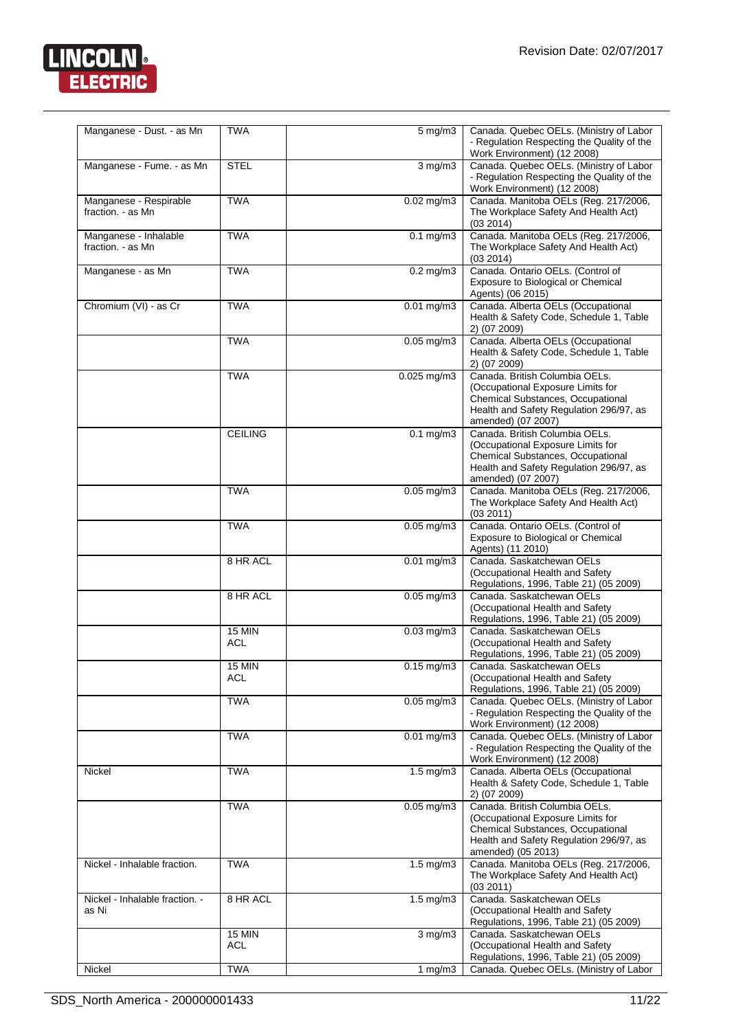

| Manganese - Dust. - as Mn                   | <b>TWA</b>           | $5 \text{ mg/m}$        | Canada. Quebec OELs. (Ministry of Labor<br>- Regulation Respecting the Quality of the<br>Work Environment) (12 2008)                                                             |
|---------------------------------------------|----------------------|-------------------------|----------------------------------------------------------------------------------------------------------------------------------------------------------------------------------|
| Manganese - Fume. - as Mn                   | <b>STEL</b>          | $3$ mg/m $3$            | Canada. Quebec OELs. (Ministry of Labor<br>- Regulation Respecting the Quality of the<br>Work Environment) (12 2008)                                                             |
| Manganese - Respirable<br>fraction. - as Mn | <b>TWA</b>           | $0.02$ mg/m $3$         | Canada. Manitoba OELs (Reg. 217/2006,<br>The Workplace Safety And Health Act)<br>(03 2014)                                                                                       |
| Manganese - Inhalable<br>fraction. - as Mn  | <b>TWA</b>           | $0.1$ mg/m $3$          | Canada. Manitoba OELs (Reg. 217/2006,<br>The Workplace Safety And Health Act)<br>(03 2014)                                                                                       |
| Manganese - as Mn                           | <b>TWA</b>           | $0.2$ mg/m $3$          | Canada. Ontario OELs. (Control of<br>Exposure to Biological or Chemical<br>Agents) (06 2015)                                                                                     |
| Chromium (VI) - as Cr                       | <b>TWA</b>           | $0.01$ mg/m3            | Canada. Alberta OELs (Occupational<br>Health & Safety Code, Schedule 1, Table<br>2) (07 2009)                                                                                    |
|                                             | <b>TWA</b>           | $0.05$ mg/m3            | Canada. Alberta OELs (Occupational<br>Health & Safety Code, Schedule 1, Table<br>2) (07 2009)                                                                                    |
|                                             | <b>TWA</b>           | $0.025$ mg/m3           | Canada. British Columbia OELs.<br>(Occupational Exposure Limits for<br>Chemical Substances, Occupational<br>Health and Safety Regulation 296/97, as<br>amended) (07 2007)        |
|                                             | <b>CEILING</b>       | $0.1$ mg/m $3$          | Canada. British Columbia OELs.<br>(Occupational Exposure Limits for<br><b>Chemical Substances, Occupational</b><br>Health and Safety Regulation 296/97, as<br>amended) (07 2007) |
|                                             | <b>TWA</b>           | $0.05$ mg/m $3$         | Canada. Manitoba OELs (Reg. 217/2006,<br>The Workplace Safety And Health Act)<br>(03 2011)                                                                                       |
|                                             | <b>TWA</b>           | $0.05 \text{ mg/m}$ 3   | Canada. Ontario OELs. (Control of<br>Exposure to Biological or Chemical<br>Agents) (11 2010)                                                                                     |
|                                             | 8 HR ACL             | $0.01$ mg/m3            | Canada. Saskatchewan OELs<br>(Occupational Health and Safety<br>Regulations, 1996, Table 21) (05 2009)                                                                           |
|                                             | 8 HR ACL             | $0.05$ mg/m3            | Canada. Saskatchewan OELs<br>(Occupational Health and Safety<br>Regulations, 1996, Table 21) (05 2009)                                                                           |
|                                             | <b>15 MIN</b><br>ACL | $0.03$ mg/m $3$         | Canada, Saskatchewan OELs<br>(Occupational Health and Safety<br>Regulations, 1996, Table 21) (05 2009)                                                                           |
|                                             | 15 MIN<br><b>ACL</b> | $\overline{0.1}5$ mg/m3 | Canada. Saskatchewan OELs<br>(Occupational Health and Safety<br>Regulations, 1996, Table 21) (05 2009)                                                                           |
|                                             | <b>TWA</b>           | $0.05$ mg/m $3$         | Canada. Quebec OELs. (Ministry of Labor<br>- Regulation Respecting the Quality of the<br>Work Environment) (12 2008)                                                             |
|                                             | <b>TWA</b>           | $0.01 \text{ mg/m}$ 3   | Canada. Quebec OELs. (Ministry of Labor<br>- Regulation Respecting the Quality of the<br>Work Environment) (12 2008)                                                             |
| Nickel                                      | <b>TWA</b>           | $1.5$ mg/m $3$          | Canada. Alberta OELs (Occupational<br>Health & Safety Code, Schedule 1, Table<br>2) (07 2009)                                                                                    |
|                                             | <b>TWA</b>           | $0.05$ mg/m $3$         | Canada. British Columbia OELs.<br>(Occupational Exposure Limits for<br>Chemical Substances, Occupational<br>Health and Safety Regulation 296/97, as<br>amended) (05 2013)        |
| Nickel - Inhalable fraction.                | <b>TWA</b>           | $1.5 \text{ mg/m}$ 3    | Canada. Manitoba OELs (Reg. 217/2006,<br>The Workplace Safety And Health Act)<br>(03 2011)                                                                                       |
| Nickel - Inhalable fraction. -<br>as Ni     | 8 HR ACL             | $1.5 \text{ mg/m}$ 3    | Canada. Saskatchewan OELs<br>(Occupational Health and Safety<br>Regulations, 1996, Table 21) (05 2009)                                                                           |
|                                             | <b>15 MIN</b><br>ACL | $\overline{3}$ mg/m $3$ | Canada. Saskatchewan OELs<br>(Occupational Health and Safety<br>Regulations, 1996, Table 21) (05 2009)                                                                           |
| Nickel                                      | <b>TWA</b>           | 1 mg/m $3$              | Canada. Quebec OELs. (Ministry of Labor                                                                                                                                          |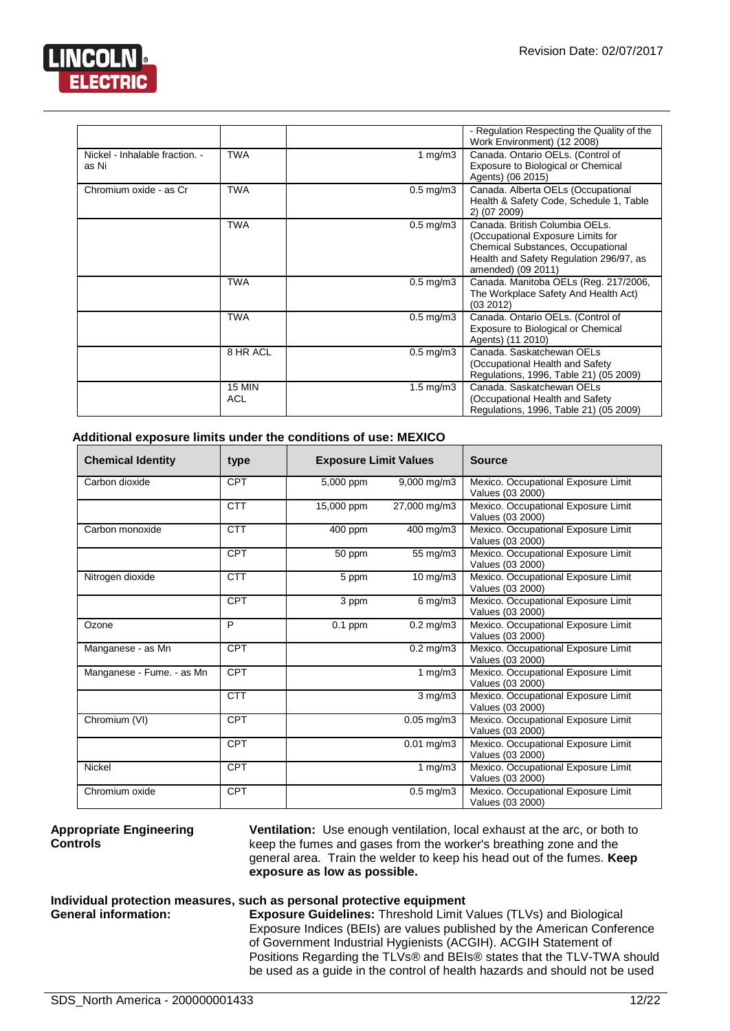

|                                |               |                      | - Regulation Respecting the Quality of the<br>Work Environment) (12 2008) |
|--------------------------------|---------------|----------------------|---------------------------------------------------------------------------|
| Nickel - Inhalable fraction. - | <b>TWA</b>    | 1 mg/m $3$           | Canada. Ontario OELs. (Control of                                         |
| as Ni                          |               |                      | Exposure to Biological or Chemical                                        |
|                                |               |                      | Agents) (06 2015)                                                         |
| Chromium oxide - as Cr         | <b>TWA</b>    | $0.5 \text{ mg/m}$ 3 | Canada. Alberta OELs (Occupational                                        |
|                                |               |                      | Health & Safety Code, Schedule 1, Table                                   |
|                                |               |                      | 2) (07 2009)                                                              |
|                                | <b>TWA</b>    | $0.5 \text{ mg/m}$ 3 | Canada, British Columbia OELs.                                            |
|                                |               |                      | (Occupational Exposure Limits for                                         |
|                                |               |                      | Chemical Substances, Occupational                                         |
|                                |               |                      | Health and Safety Regulation 296/97, as                                   |
|                                |               |                      | amended) (09 2011)                                                        |
|                                | <b>TWA</b>    | $0.5 \text{ mg/m}$ 3 | Canada. Manitoba OELs (Reg. 217/2006,                                     |
|                                |               |                      | The Workplace Safety And Health Act)                                      |
|                                |               |                      | (03 2012)                                                                 |
|                                | <b>TWA</b>    | $0.5 \text{ mg/m}$ 3 | Canada. Ontario OELs. (Control of                                         |
|                                |               |                      | Exposure to Biological or Chemical                                        |
|                                |               |                      | Agents) (11 2010)                                                         |
|                                | 8 HR ACL      | $0.5 \text{ mg/m}$ 3 | Canada, Saskatchewan OELs                                                 |
|                                |               |                      | (Occupational Health and Safety                                           |
|                                |               |                      | Regulations, 1996, Table 21) (05 2009)                                    |
|                                | <b>15 MIN</b> | $1.5 \text{ mg/m}$ 3 | Canada, Saskatchewan OELs                                                 |
|                                | <b>ACL</b>    |                      | (Occupational Health and Safety                                           |
|                                |               |                      | Regulations, 1996, Table 21) (05 2009)                                    |

#### **Additional exposure limits under the conditions of use: MEXICO**

| <b>Chemical Identity</b>  | type       | <b>Exposure Limit Values</b> |                         | <b>Source</b>                                           |
|---------------------------|------------|------------------------------|-------------------------|---------------------------------------------------------|
| Carbon dioxide            | CPT        | 5,000 ppm                    | 9,000 mg/m3             | Mexico. Occupational Exposure Limit<br>Values (03 2000) |
|                           | <b>CTT</b> | 15,000 ppm                   | 27,000 mg/m3            | Mexico. Occupational Exposure Limit<br>Values (03 2000) |
| Carbon monoxide           | <b>CTT</b> | 400 ppm                      | 400 mg/m3               | Mexico. Occupational Exposure Limit<br>Values (03 2000) |
|                           | <b>CPT</b> | 50 ppm                       | 55 mg/m3                | Mexico. Occupational Exposure Limit<br>Values (03 2000) |
| Nitrogen dioxide          | <b>CTT</b> | 5 ppm                        | $10$ mg/m $3$           | Mexico. Occupational Exposure Limit<br>Values (03 2000) |
|                           | CPT        | 3 ppm                        | $6$ mg/m $3$            | Mexico. Occupational Exposure Limit<br>Values (03 2000) |
| Ozone                     | P          | $\overline{0}.1$ ppm         | $0.2 \,\mathrm{mg/m}$ 3 | Mexico. Occupational Exposure Limit<br>Values (03 2000) |
| Manganese - as Mn         | <b>CPT</b> |                              | $0.2$ mg/m $3$          | Mexico. Occupational Exposure Limit<br>Values (03 2000) |
| Manganese - Fume. - as Mn | <b>CPT</b> |                              | 1 $mg/m3$               | Mexico. Occupational Exposure Limit<br>Values (03 2000) |
|                           | <b>CTT</b> |                              | $3$ mg/m $3$            | Mexico. Occupational Exposure Limit<br>Values (03 2000) |
| Chromium (VI)             | CPT        |                              | $0.05$ mg/m $3$         | Mexico. Occupational Exposure Limit<br>Values (03 2000) |
|                           | <b>CPT</b> |                              | $0.01$ mg/m $3$         | Mexico. Occupational Exposure Limit<br>Values (03 2000) |
| <b>Nickel</b>             | <b>CPT</b> |                              | 1 $mg/m3$               | Mexico. Occupational Exposure Limit<br>Values (03 2000) |
| Chromium oxide            | <b>CPT</b> |                              | $0.5$ mg/m $3$          | Mexico. Occupational Exposure Limit<br>Values (03 2000) |

#### **Appropriate Engineering Controls**

**Ventilation:** Use enough ventilation, local exhaust at the arc, or both to keep the fumes and gases from the worker's breathing zone and the general area. Train the welder to keep his head out of the fumes. **Keep exposure as low as possible.**

## **Individual protection measures, such as personal protective equipment**

**Exposure Guidelines:** Threshold Limit Values (TLVs) and Biological Exposure Indices (BEIs) are values published by the American Conference of Government Industrial Hygienists (ACGIH). ACGIH Statement of Positions Regarding the TLVs® and BEIs® states that the TLV-TWA should be used as a guide in the control of health hazards and should not be used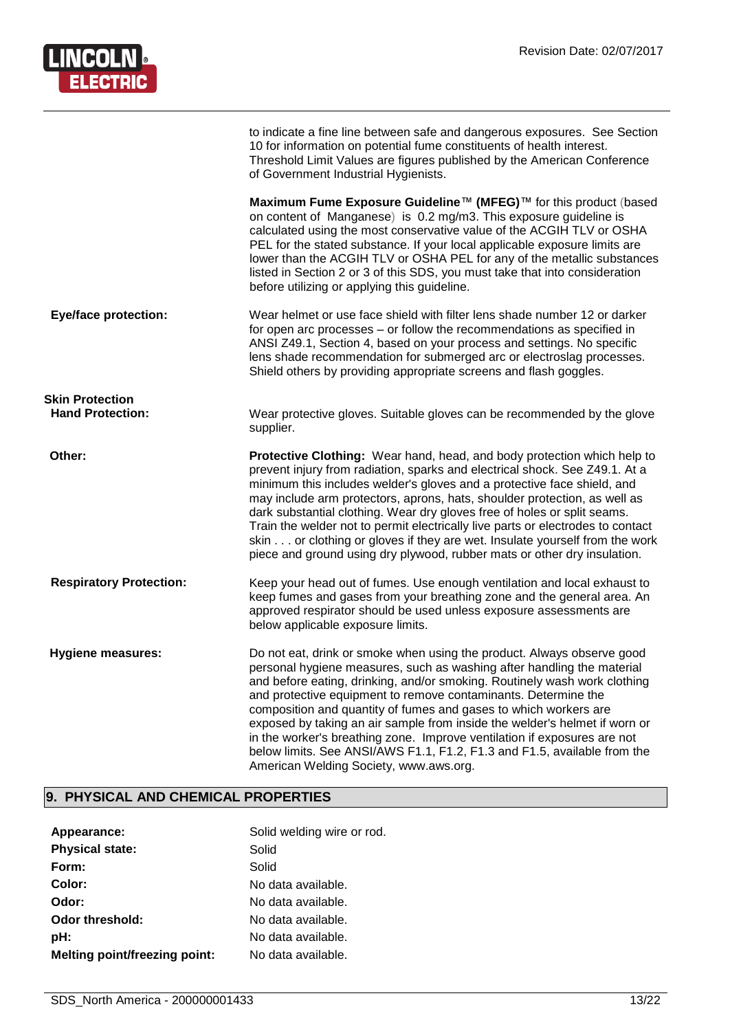

|                                | to indicate a fine line between safe and dangerous exposures. See Section<br>10 for information on potential fume constituents of health interest.<br>Threshold Limit Values are figures published by the American Conference<br>of Government Industrial Hygienists.                                                                                                                                                                                                                                                                                                                                                                               |
|--------------------------------|-----------------------------------------------------------------------------------------------------------------------------------------------------------------------------------------------------------------------------------------------------------------------------------------------------------------------------------------------------------------------------------------------------------------------------------------------------------------------------------------------------------------------------------------------------------------------------------------------------------------------------------------------------|
|                                | Maximum Fume Exposure Guideline™ (MFEG)™ for this product (based<br>on content of Manganese) is 0.2 mg/m3. This exposure guideline is<br>calculated using the most conservative value of the ACGIH TLV or OSHA<br>PEL for the stated substance. If your local applicable exposure limits are<br>lower than the ACGIH TLV or OSHA PEL for any of the metallic substances<br>listed in Section 2 or 3 of this SDS, you must take that into consideration<br>before utilizing or applying this guideline.                                                                                                                                              |
| <b>Eye/face protection:</b>    | Wear helmet or use face shield with filter lens shade number 12 or darker<br>for open arc processes – or follow the recommendations as specified in<br>ANSI Z49.1, Section 4, based on your process and settings. No specific<br>lens shade recommendation for submerged arc or electroslag processes.<br>Shield others by providing appropriate screens and flash goggles.                                                                                                                                                                                                                                                                         |
| <b>Skin Protection</b>         |                                                                                                                                                                                                                                                                                                                                                                                                                                                                                                                                                                                                                                                     |
| <b>Hand Protection:</b>        | Wear protective gloves. Suitable gloves can be recommended by the glove<br>supplier.                                                                                                                                                                                                                                                                                                                                                                                                                                                                                                                                                                |
| Other:                         | <b>Protective Clothing:</b> Wear hand, head, and body protection which help to<br>prevent injury from radiation, sparks and electrical shock. See Z49.1. At a<br>minimum this includes welder's gloves and a protective face shield, and<br>may include arm protectors, aprons, hats, shoulder protection, as well as<br>dark substantial clothing. Wear dry gloves free of holes or split seams.<br>Train the welder not to permit electrically live parts or electrodes to contact<br>skin or clothing or gloves if they are wet. Insulate yourself from the work<br>piece and ground using dry plywood, rubber mats or other dry insulation.     |
| <b>Respiratory Protection:</b> | Keep your head out of fumes. Use enough ventilation and local exhaust to<br>keep fumes and gases from your breathing zone and the general area. An<br>approved respirator should be used unless exposure assessments are<br>below applicable exposure limits.                                                                                                                                                                                                                                                                                                                                                                                       |
| <b>Hygiene measures:</b>       | Do not eat, drink or smoke when using the product. Always observe good<br>personal hygiene measures, such as washing after handling the material<br>and before eating, drinking, and/or smoking. Routinely wash work clothing<br>and protective equipment to remove contaminants. Determine the<br>composition and quantity of fumes and gases to which workers are<br>exposed by taking an air sample from inside the welder's helmet if worn or<br>in the worker's breathing zone. Improve ventilation if exposures are not<br>below limits. See ANSI/AWS F1.1, F1.2, F1.3 and F1.5, available from the<br>American Welding Society, www.aws.org. |

#### **9. PHYSICAL AND CHEMICAL PROPERTIES**

| Appearance:                          | Solid welding wire or rod. |
|--------------------------------------|----------------------------|
| <b>Physical state:</b>               | Solid                      |
| Form:                                | Solid                      |
| Color:                               | No data available.         |
| Odor:                                | No data available.         |
| Odor threshold:                      | No data available.         |
| pH:                                  | No data available.         |
| <b>Melting point/freezing point:</b> | No data available.         |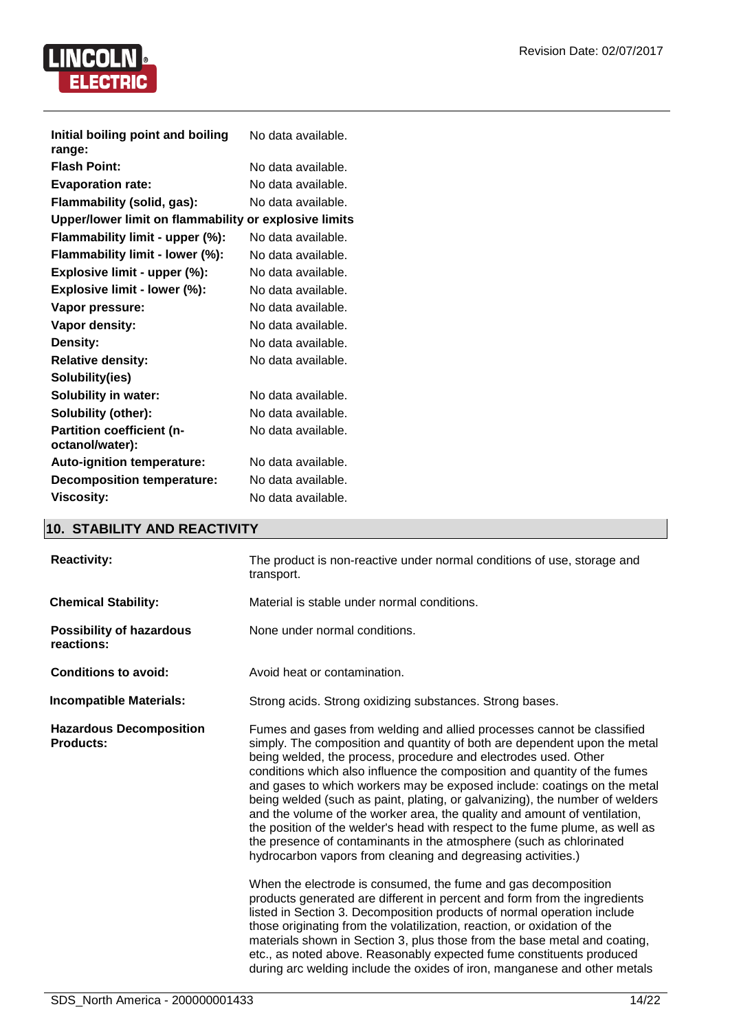

| Initial boiling point and boiling<br>range:           | No data available. |
|-------------------------------------------------------|--------------------|
| <b>Flash Point:</b>                                   | No data available. |
| <b>Evaporation rate:</b>                              | No data available. |
| Flammability (solid, gas):                            | No data available. |
| Upper/lower limit on flammability or explosive limits |                    |
| Flammability limit - upper (%):                       | No data available. |
| Flammability limit - lower (%):                       | No data available. |
| Explosive limit - upper (%):                          | No data available. |
| Explosive limit - lower (%):                          | No data available. |
| Vapor pressure:                                       | No data available. |
| <b>Vapor density:</b>                                 | No data available. |
| Density:                                              | No data available. |
| <b>Relative density:</b>                              | No data available. |
| Solubility(ies)                                       |                    |
| <b>Solubility in water:</b>                           | No data available. |
| Solubility (other):                                   | No data available. |
| <b>Partition coefficient (n-</b>                      | No data available. |
| octanol/water):                                       |                    |
| <b>Auto-ignition temperature:</b>                     | No data available. |
| <b>Decomposition temperature:</b>                     | No data available. |
| <b>Viscosity:</b>                                     | No data available. |

#### **10. STABILITY AND REACTIVITY**

| <b>Reactivity:</b>                                 | The product is non-reactive under normal conditions of use, storage and<br>transport.                                                                                                                                                                                                                                                                                                                                                                                                                                                                                                                                                                                                                                                                               |
|----------------------------------------------------|---------------------------------------------------------------------------------------------------------------------------------------------------------------------------------------------------------------------------------------------------------------------------------------------------------------------------------------------------------------------------------------------------------------------------------------------------------------------------------------------------------------------------------------------------------------------------------------------------------------------------------------------------------------------------------------------------------------------------------------------------------------------|
| <b>Chemical Stability:</b>                         | Material is stable under normal conditions.                                                                                                                                                                                                                                                                                                                                                                                                                                                                                                                                                                                                                                                                                                                         |
| <b>Possibility of hazardous</b><br>reactions:      | None under normal conditions.                                                                                                                                                                                                                                                                                                                                                                                                                                                                                                                                                                                                                                                                                                                                       |
| <b>Conditions to avoid:</b>                        | Avoid heat or contamination.                                                                                                                                                                                                                                                                                                                                                                                                                                                                                                                                                                                                                                                                                                                                        |
| <b>Incompatible Materials:</b>                     | Strong acids. Strong oxidizing substances. Strong bases.                                                                                                                                                                                                                                                                                                                                                                                                                                                                                                                                                                                                                                                                                                            |
| <b>Hazardous Decomposition</b><br><b>Products:</b> | Fumes and gases from welding and allied processes cannot be classified<br>simply. The composition and quantity of both are dependent upon the metal<br>being welded, the process, procedure and electrodes used. Other<br>conditions which also influence the composition and quantity of the fumes<br>and gases to which workers may be exposed include: coatings on the metal<br>being welded (such as paint, plating, or galvanizing), the number of welders<br>and the volume of the worker area, the quality and amount of ventilation,<br>the position of the welder's head with respect to the fume plume, as well as<br>the presence of contaminants in the atmosphere (such as chlorinated<br>hydrocarbon vapors from cleaning and degreasing activities.) |
|                                                    | When the electrode is consumed, the fume and gas decomposition<br>products generated are different in percent and form from the ingredients<br>listed in Section 3. Decomposition products of normal operation include<br>those originating from the volatilization, reaction, or oxidation of the<br>materials shown in Section 3, plus those from the base metal and coating,<br>etc., as noted above. Reasonably expected fume constituents produced<br>during arc welding include the oxides of iron, manganese and other metals                                                                                                                                                                                                                                |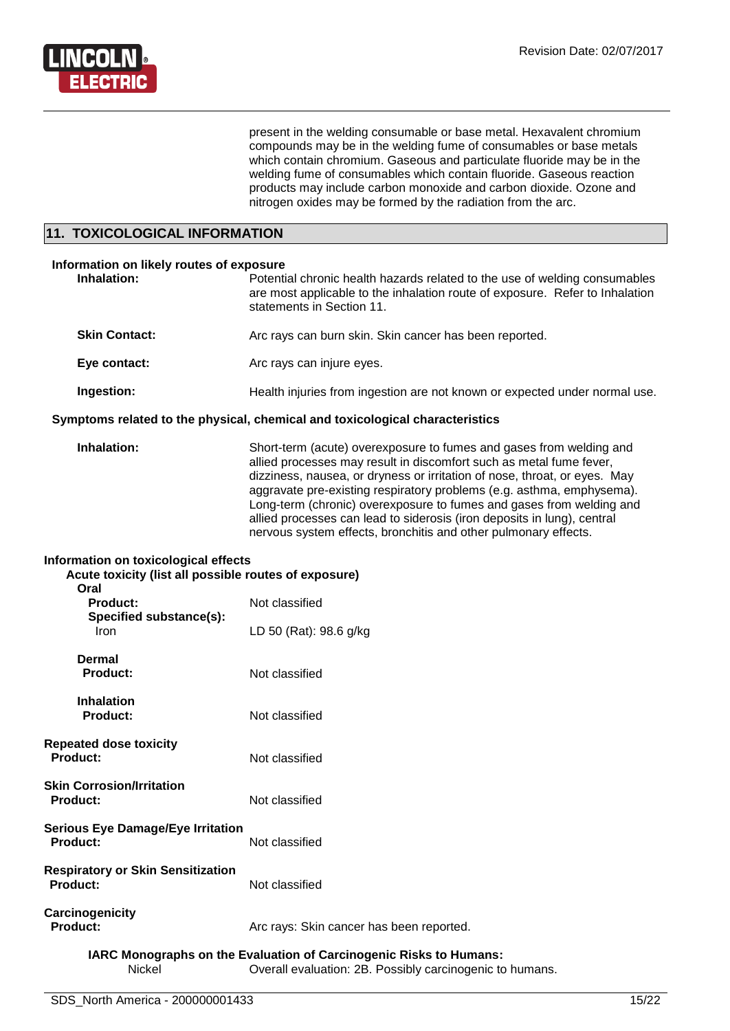

present in the welding consumable or base metal. Hexavalent chromium compounds may be in the welding fume of consumables or base metals which contain chromium. Gaseous and particulate fluoride may be in the welding fume of consumables which contain fluoride. Gaseous reaction products may include carbon monoxide and carbon dioxide. Ozone and nitrogen oxides may be formed by the radiation from the arc.

#### **11. TOXICOLOGICAL INFORMATION**

| Information on likely routes of exposure<br>Inhalation:                      | Potential chronic health hazards related to the use of welding consumables<br>are most applicable to the inhalation route of exposure. Refer to Inhalation<br>statements in Section 11.                                                                                                                                                                                                                                                                                                                                |  |
|------------------------------------------------------------------------------|------------------------------------------------------------------------------------------------------------------------------------------------------------------------------------------------------------------------------------------------------------------------------------------------------------------------------------------------------------------------------------------------------------------------------------------------------------------------------------------------------------------------|--|
| <b>Skin Contact:</b>                                                         | Arc rays can burn skin. Skin cancer has been reported.                                                                                                                                                                                                                                                                                                                                                                                                                                                                 |  |
| Eye contact:                                                                 | Arc rays can injure eyes.                                                                                                                                                                                                                                                                                                                                                                                                                                                                                              |  |
| Ingestion:                                                                   | Health injuries from ingestion are not known or expected under normal use.                                                                                                                                                                                                                                                                                                                                                                                                                                             |  |
| Symptoms related to the physical, chemical and toxicological characteristics |                                                                                                                                                                                                                                                                                                                                                                                                                                                                                                                        |  |
| Inhalation:                                                                  | Short-term (acute) overexposure to fumes and gases from welding and<br>allied processes may result in discomfort such as metal fume fever,<br>dizziness, nausea, or dryness or irritation of nose, throat, or eyes. May<br>aggravate pre-existing respiratory problems (e.g. asthma, emphysema).<br>Long-term (chronic) overexposure to fumes and gases from welding and<br>allied processes can lead to siderosis (iron deposits in lung), central<br>nervous system effects, bronchitis and other pulmonary effects. |  |
| Information on toxicological effects                                         |                                                                                                                                                                                                                                                                                                                                                                                                                                                                                                                        |  |

| mionination on toxicological chects<br>Acute toxicity (list all possible routes of exposure)<br>Oral |                                          |  |
|------------------------------------------------------------------------------------------------------|------------------------------------------|--|
| <b>Product:</b>                                                                                      | Not classified                           |  |
| Specified substance(s):<br>Iron                                                                      | LD 50 (Rat): 98.6 g/kg                   |  |
| Dermal<br><b>Product:</b>                                                                            | Not classified                           |  |
| <b>Inhalation</b><br><b>Product:</b>                                                                 | Not classified                           |  |
| <b>Repeated dose toxicity</b><br>Product:                                                            | Not classified                           |  |
| <b>Skin Corrosion/Irritation</b><br><b>Product:</b>                                                  | Not classified                           |  |
| <b>Serious Eye Damage/Eye Irritation</b><br>Product:                                                 | Not classified                           |  |
| <b>Respiratory or Skin Sensitization</b><br>Product:                                                 | Not classified                           |  |
| Carcinogenicity<br>Product:                                                                          | Arc rays: Skin cancer has been reported. |  |

#### **IARC Monographs on the Evaluation of Carcinogenic Risks to Humans:** Nickel Overall evaluation: 2B. Possibly carcinogenic to humans.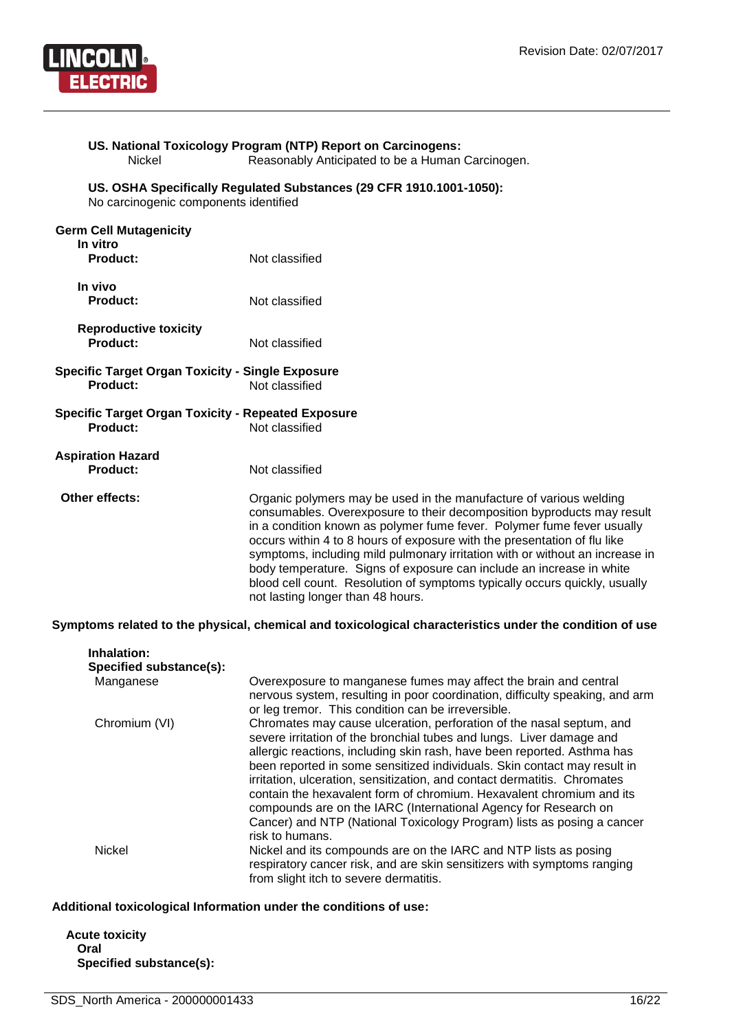

| Nickel                                                                     | US. National Toxicology Program (NTP) Report on Carcinogens:<br>Reasonably Anticipated to be a Human Carcinogen.                                                                                                                                                                                                                                                                                                                                                                                                                                                              |
|----------------------------------------------------------------------------|-------------------------------------------------------------------------------------------------------------------------------------------------------------------------------------------------------------------------------------------------------------------------------------------------------------------------------------------------------------------------------------------------------------------------------------------------------------------------------------------------------------------------------------------------------------------------------|
| No carcinogenic components identified                                      | US. OSHA Specifically Regulated Substances (29 CFR 1910.1001-1050):                                                                                                                                                                                                                                                                                                                                                                                                                                                                                                           |
| <b>Germ Cell Mutagenicity</b><br>In vitro<br><b>Product:</b>               | Not classified                                                                                                                                                                                                                                                                                                                                                                                                                                                                                                                                                                |
| In vivo<br><b>Product:</b>                                                 | Not classified                                                                                                                                                                                                                                                                                                                                                                                                                                                                                                                                                                |
| <b>Reproductive toxicity</b><br>Product:                                   | Not classified                                                                                                                                                                                                                                                                                                                                                                                                                                                                                                                                                                |
| <b>Specific Target Organ Toxicity - Single Exposure</b><br><b>Product:</b> | Not classified                                                                                                                                                                                                                                                                                                                                                                                                                                                                                                                                                                |
| <b>Specific Target Organ Toxicity - Repeated Exposure</b><br>Product:      | Not classified                                                                                                                                                                                                                                                                                                                                                                                                                                                                                                                                                                |
| <b>Aspiration Hazard</b><br>Product:                                       | Not classified                                                                                                                                                                                                                                                                                                                                                                                                                                                                                                                                                                |
| Other effects:                                                             | Organic polymers may be used in the manufacture of various welding<br>consumables. Overexposure to their decomposition byproducts may result<br>in a condition known as polymer fume fever. Polymer fume fever usually<br>occurs within 4 to 8 hours of exposure with the presentation of flu like<br>symptoms, including mild pulmonary irritation with or without an increase in<br>body temperature. Signs of exposure can include an increase in white<br>blood cell count. Resolution of symptoms typically occurs quickly, usually<br>not lasting longer than 48 hours. |
|                                                                            | Symptoms related to the physical, chemical and toxicological characteristics under the condition of use                                                                                                                                                                                                                                                                                                                                                                                                                                                                       |

| Inhalation:<br>Specified substance(s): |                                                                                                                                                                                                                                                                                                                                                                                                                                                                                                                                                                                                                         |
|----------------------------------------|-------------------------------------------------------------------------------------------------------------------------------------------------------------------------------------------------------------------------------------------------------------------------------------------------------------------------------------------------------------------------------------------------------------------------------------------------------------------------------------------------------------------------------------------------------------------------------------------------------------------------|
| Manganese                              | Overexposure to manganese fumes may affect the brain and central<br>nervous system, resulting in poor coordination, difficulty speaking, and arm<br>or leg tremor. This condition can be irreversible.                                                                                                                                                                                                                                                                                                                                                                                                                  |
| Chromium (VI)                          | Chromates may cause ulceration, perforation of the nasal septum, and<br>severe irritation of the bronchial tubes and lungs. Liver damage and<br>allergic reactions, including skin rash, have been reported. Asthma has<br>been reported in some sensitized individuals. Skin contact may result in<br>irritation, ulceration, sensitization, and contact dermatitis. Chromates<br>contain the hexavalent form of chromium. Hexavalent chromium and its<br>compounds are on the IARC (International Agency for Research on<br>Cancer) and NTP (National Toxicology Program) lists as posing a cancer<br>risk to humans. |
| <b>Nickel</b>                          | Nickel and its compounds are on the IARC and NTP lists as posing<br>respiratory cancer risk, and are skin sensitizers with symptoms ranging<br>from slight itch to severe dermatitis.                                                                                                                                                                                                                                                                                                                                                                                                                                   |

#### **Additional toxicological Information under the conditions of use:**

**Acute toxicity Oral Specified substance(s):**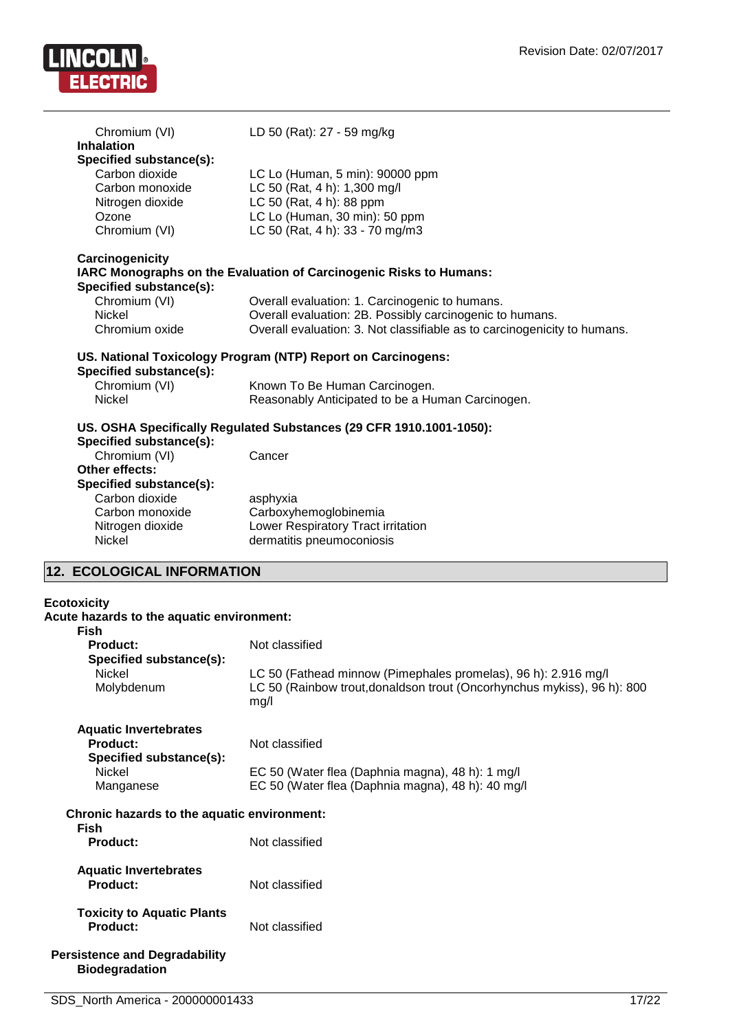

| Chromium (VI)                                                 | LD 50 (Rat): 27 - 59 mg/kg                                                                                                           |
|---------------------------------------------------------------|--------------------------------------------------------------------------------------------------------------------------------------|
| <b>Inhalation</b>                                             |                                                                                                                                      |
| Specified substance(s):<br>Carbon dioxide                     | LC Lo (Human, 5 min): 90000 ppm                                                                                                      |
| Carbon monoxide                                               | LC 50 (Rat, 4 h): 1,300 mg/l                                                                                                         |
| Nitrogen dioxide                                              | LC 50 (Rat, 4 h): 88 ppm                                                                                                             |
| Ozone                                                         | LC Lo (Human, 30 min): 50 ppm                                                                                                        |
| Chromium (VI)                                                 | LC 50 (Rat, 4 h): 33 - 70 mg/m3                                                                                                      |
| Carcinogenicity<br>Specified substance(s):                    | IARC Monographs on the Evaluation of Carcinogenic Risks to Humans:                                                                   |
| Chromium (VI)                                                 | Overall evaluation: 1. Carcinogenic to humans.                                                                                       |
| <b>Nickel</b><br>Chromium oxide                               | Overall evaluation: 2B. Possibly carcinogenic to humans.<br>Overall evaluation: 3. Not classifiable as to carcinogenicity to humans. |
|                                                               |                                                                                                                                      |
| Specified substance(s):                                       | US. National Toxicology Program (NTP) Report on Carcinogens:                                                                         |
| Chromium (VI)                                                 | Known To Be Human Carcinogen.                                                                                                        |
| <b>Nickel</b>                                                 | Reasonably Anticipated to be a Human Carcinogen.                                                                                     |
| Specified substance(s):                                       | US. OSHA Specifically Regulated Substances (29 CFR 1910.1001-1050):                                                                  |
| Chromium (VI)                                                 | Cancer                                                                                                                               |
| Other effects:                                                |                                                                                                                                      |
| Specified substance(s):                                       |                                                                                                                                      |
| Carbon dioxide                                                | asphyxia                                                                                                                             |
| Carbon monoxide                                               | Carboxyhemoglobinemia                                                                                                                |
| Nitrogen dioxide                                              | Lower Respiratory Tract irritation                                                                                                   |
| Nickel                                                        | dermatitis pneumoconiosis                                                                                                            |
| 12. ECOLOGICAL INFORMATION                                    |                                                                                                                                      |
| <b>Ecotoxicity</b>                                            |                                                                                                                                      |
| Acute hazards to the aquatic environment:                     |                                                                                                                                      |
| <b>Fish</b>                                                   |                                                                                                                                      |
| <b>Product:</b>                                               | Not classified                                                                                                                       |
| Specified substance(s):<br>Nickel                             | LC 50 (Fathead minnow (Pimephales promelas), 96 h): 2.916 mg/l                                                                       |
| Molybdenum                                                    | LC 50 (Rainbow trout, donaldson trout (Oncorhynchus mykiss), 96 h): 800<br>mg/l                                                      |
| <b>Aquatic Invertebrates</b>                                  |                                                                                                                                      |
| Product:                                                      | Not classified                                                                                                                       |
| Specified substance(s):                                       |                                                                                                                                      |
| Nickel<br>Manganese                                           | EC 50 (Water flea (Daphnia magna), 48 h): 1 mg/l<br>EC 50 (Water flea (Daphnia magna), 48 h): 40 mg/l                                |
| Chronic hazards to the aquatic environment:<br>Fish           |                                                                                                                                      |
| <b>Product:</b>                                               | Not classified                                                                                                                       |
| <b>Aquatic Invertebrates</b><br><b>Product:</b>               | Not classified                                                                                                                       |
| <b>Toxicity to Aquatic Plants</b><br><b>Product:</b>          | Not classified                                                                                                                       |
| <b>Persistence and Degradability</b><br><b>Biodegradation</b> |                                                                                                                                      |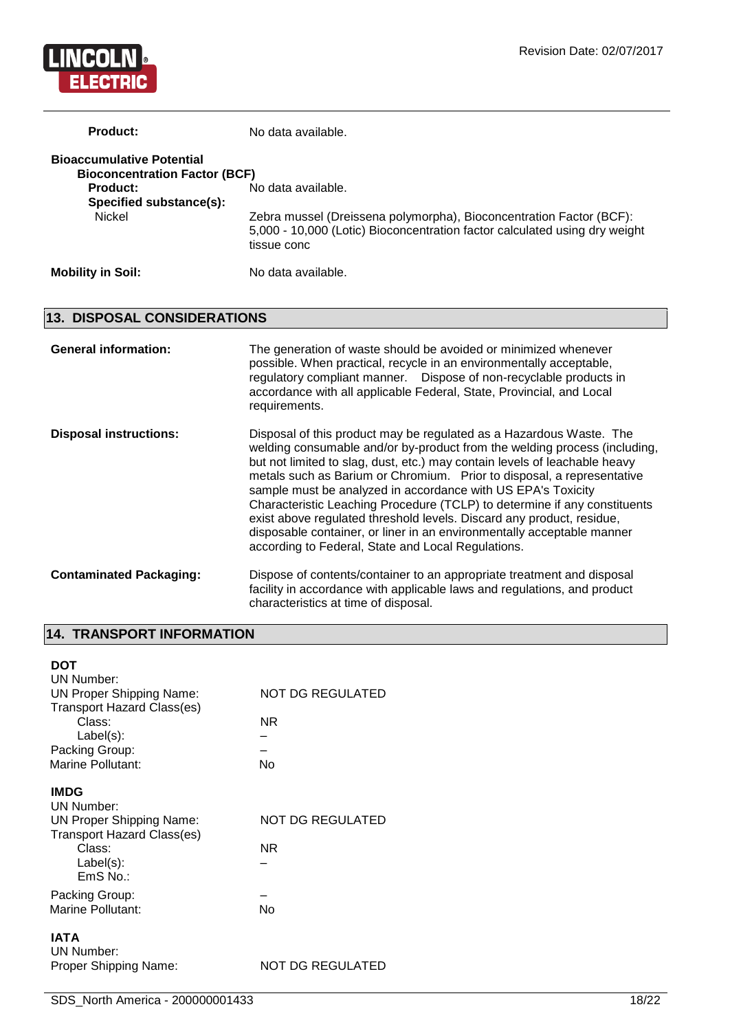

| <b>Product:</b>                                                          | No data available.                                                                                                                                               |
|--------------------------------------------------------------------------|------------------------------------------------------------------------------------------------------------------------------------------------------------------|
| <b>Bioaccumulative Potential</b><br><b>Bioconcentration Factor (BCF)</b> |                                                                                                                                                                  |
| <b>Product:</b><br>Specified substance(s):                               | No data available.                                                                                                                                               |
| <b>Nickel</b>                                                            | Zebra mussel (Dreissena polymorpha), Bioconcentration Factor (BCF):<br>5,000 - 10,000 (Lotic) Bioconcentration factor calculated using dry weight<br>tissue conc |
| <b>Mobility in Soil:</b>                                                 | No data available.                                                                                                                                               |

### **13. DISPOSAL CONSIDERATIONS**

| <b>General information:</b>    | The generation of waste should be avoided or minimized whenever<br>possible. When practical, recycle in an environmentally acceptable,<br>regulatory compliant manner. Dispose of non-recyclable products in<br>accordance with all applicable Federal, State, Provincial, and Local<br>requirements.                                                                                                                                                                                                                                                                                                                                                          |
|--------------------------------|----------------------------------------------------------------------------------------------------------------------------------------------------------------------------------------------------------------------------------------------------------------------------------------------------------------------------------------------------------------------------------------------------------------------------------------------------------------------------------------------------------------------------------------------------------------------------------------------------------------------------------------------------------------|
| <b>Disposal instructions:</b>  | Disposal of this product may be regulated as a Hazardous Waste. The<br>welding consumable and/or by-product from the welding process (including,<br>but not limited to slag, dust, etc.) may contain levels of leachable heavy<br>metals such as Barium or Chromium. Prior to disposal, a representative<br>sample must be analyzed in accordance with US EPA's Toxicity<br>Characteristic Leaching Procedure (TCLP) to determine if any constituents<br>exist above regulated threshold levels. Discard any product, residue,<br>disposable container, or liner in an environmentally acceptable manner<br>according to Federal, State and Local Regulations. |
| <b>Contaminated Packaging:</b> | Dispose of contents/container to an appropriate treatment and disposal<br>facility in accordance with applicable laws and regulations, and product<br>characteristics at time of disposal.                                                                                                                                                                                                                                                                                                                                                                                                                                                                     |

### **14. TRANSPORT INFORMATION**

| DOT<br>UN Number:<br><b>UN Proper Shipping Name:</b><br><b>Transport Hazard Class(es)</b><br>Class:<br>$Label(s)$ :<br>Packing Group:<br><b>Marine Pollutant:</b> | NOT DG REGULATED<br>ΝR<br>No |
|-------------------------------------------------------------------------------------------------------------------------------------------------------------------|------------------------------|
| <b>IMDG</b><br>UN Number:<br>UN Proper Shipping Name:<br><b>Transport Hazard Class(es)</b><br>Class:<br>$Label(s)$ :<br>$EmS$ No.:                                | NOT DG REGULATED<br>NR.      |
| Packing Group:<br>Marine Pollutant:                                                                                                                               | Nο                           |
| <b>IATA</b><br>UN Number:<br>Proper Shipping Name:                                                                                                                | NOT DG REGULATED             |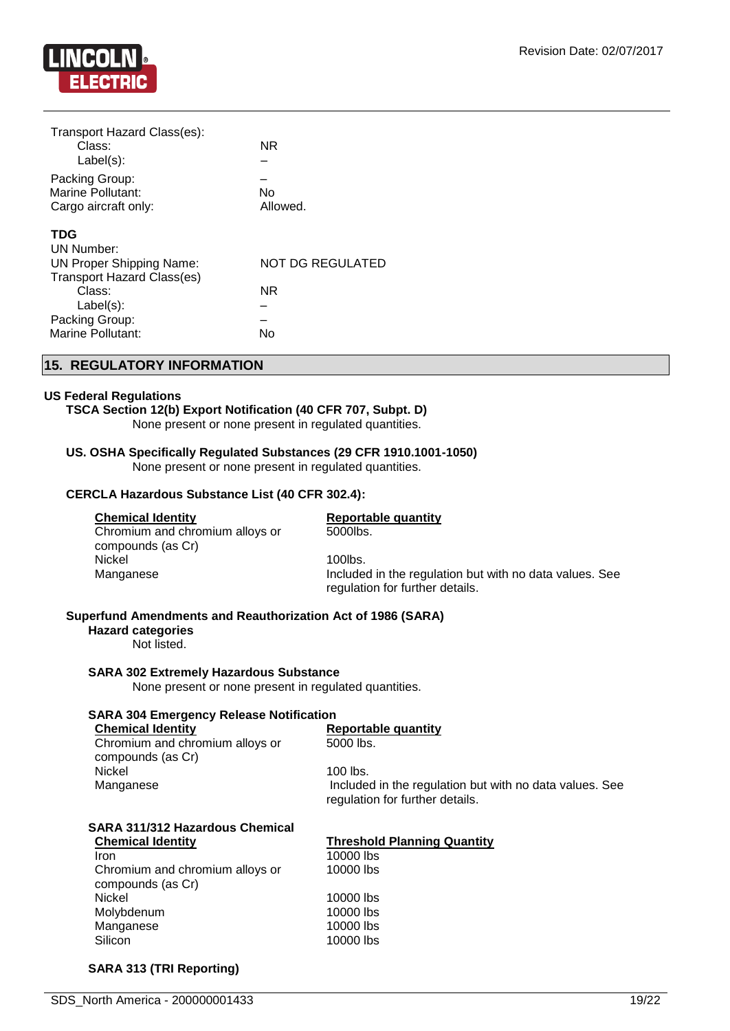

| Transport Hazard Class(es):       |                         |
|-----------------------------------|-------------------------|
| Class:                            | NR.                     |
| Label(s):                         |                         |
| Packing Group:                    |                         |
| Marine Pollutant:                 | No                      |
| Cargo aircraft only:              | Allowed.                |
| <b>TDG</b>                        |                         |
| <b>UN Number:</b>                 |                         |
| UN Proper Shipping Name:          | <b>NOT DG REGULATED</b> |
| <b>Transport Hazard Class(es)</b> |                         |
| Class:                            | NR                      |
| $Label(s)$ :                      |                         |
| Packing Group:                    |                         |
| Marine Pollutant:                 | No                      |
|                                   |                         |

#### **15. REGULATORY INFORMATION**

#### **US Federal Regulations**

#### **TSCA Section 12(b) Export Notification (40 CFR 707, Subpt. D)**

None present or none present in regulated quantities.

#### **US. OSHA Specifically Regulated Substances (29 CFR 1910.1001-1050)**

None present or none present in regulated quantities.

#### **CERCLA Hazardous Substance List (40 CFR 302.4):**

#### **Chemical Identity Reportable quantity**

## 5000lbs.

Chromium and chromium alloys or compounds (as Cr) Nickel 2001 100 Nickel 2001 100 Nickel 2001 100 Nickel 2002 100 Nickel 2002 100 Nickel 2002 100 Nickel 2003 10

### Manganese **Included in the regulation but with no data values.** See regulation for further details.

#### **Superfund Amendments and Reauthorization Act of 1986 (SARA)**

#### **Hazard categories**

Not listed.

#### **SARA 302 Extremely Hazardous Substance**

None present or none present in regulated quantities.

#### **SARA 304 Emergency Release Notification**

**Chemical Identity Reportable quantity** Chromium and chromium alloys or compounds (as Cr) Nickel 100 lbs.<br>Manganese and the contract of the Manganese

5000 lbs.

Included in the regulation but with no data values. See regulation for further details.

#### **SARA 311/312 Hazardous Chemical Chemical Identity Threshold Planning Quantity**

**Iron** 10000 lbs Chromium and chromium alloys or compounds (as Cr) Nickel 10000 lbs Molybdenum 10000 lbs Manganese 10000 lbs Silicon 10000 lbs

10000 lbs

#### **SARA 313 (TRI Reporting)**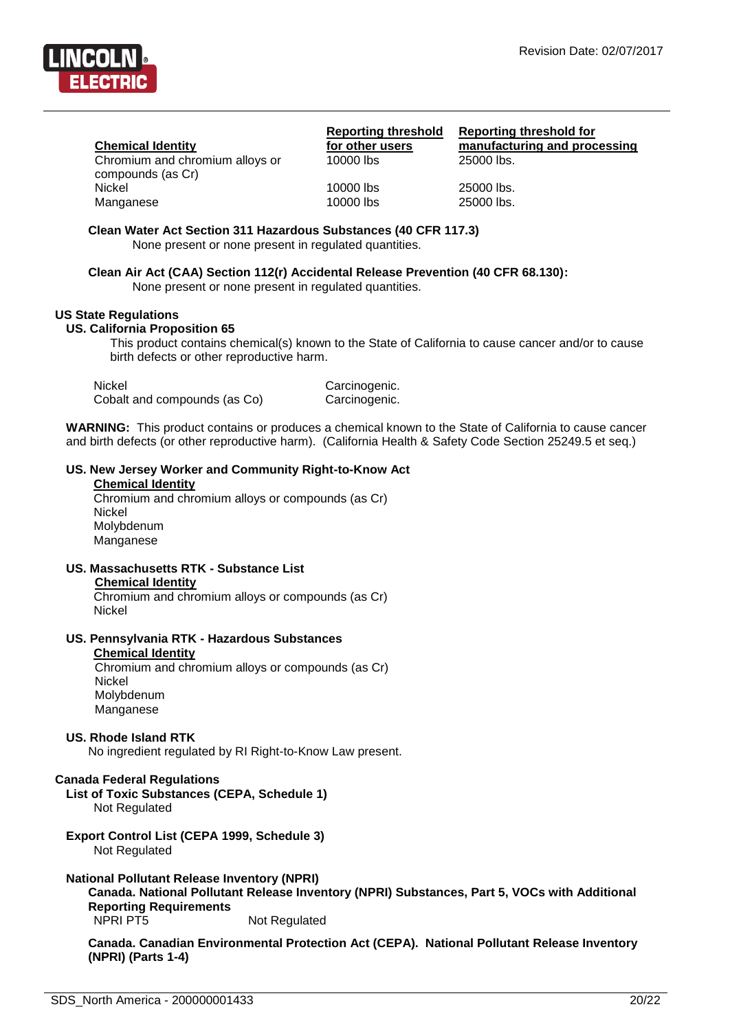

#### **Chemical Identity**

Chromium and chromium alloys or compounds (as Cr) Nickel 10000 lbs 25000 lbs. Manganese 10000 lbs 25000 lbs.

**Reporting threshold for other users**<br>10000 lbs

**Reporting threshold for manufacturing and processing**  $25000$  lbs.

**Clean Water Act Section 311 Hazardous Substances (40 CFR 117.3)**

None present or none present in regulated quantities.

**Clean Air Act (CAA) Section 112(r) Accidental Release Prevention (40 CFR 68.130):** None present or none present in regulated quantities.

#### **US State Regulations**

#### **US. California Proposition 65**

This product contains chemical(s) known to the State of California to cause cancer and/or to cause birth defects or other reproductive harm.

| Nickel                       | Carcinogenic. |
|------------------------------|---------------|
| Cobalt and compounds (as Co) | Carcinogenic. |

**WARNING:** This product contains or produces a chemical known to the State of California to cause cancer and birth defects (or other reproductive harm). (California Health & Safety Code Section 25249.5 et seq.)

#### **US. New Jersey Worker and Community Right-to-Know Act**

#### **Chemical Identity**

Chromium and chromium alloys or compounds (as Cr) Nickel Molybdenum Manganese

**US. Massachusetts RTK - Substance List Chemical Identity**

Chromium and chromium alloys or compounds (as Cr) Nickel

#### **US. Pennsylvania RTK - Hazardous Substances**

#### **Chemical Identity**

Chromium and chromium alloys or compounds (as Cr) Nickel Molybdenum Manganese

#### **US. Rhode Island RTK**

No ingredient regulated by RI Right-to-Know Law present.

#### **Canada Federal Regulations**

**List of Toxic Substances (CEPA, Schedule 1)** Not Regulated

**Export Control List (CEPA 1999, Schedule 3)** Not Regulated

#### **National Pollutant Release Inventory (NPRI)**

**Canada. National Pollutant Release Inventory (NPRI) Substances, Part 5, VOCs with Additional Reporting Requirements** NPRI PT5 Not Regulated

**Canada. Canadian Environmental Protection Act (CEPA). National Pollutant Release Inventory (NPRI) (Parts 1-4)**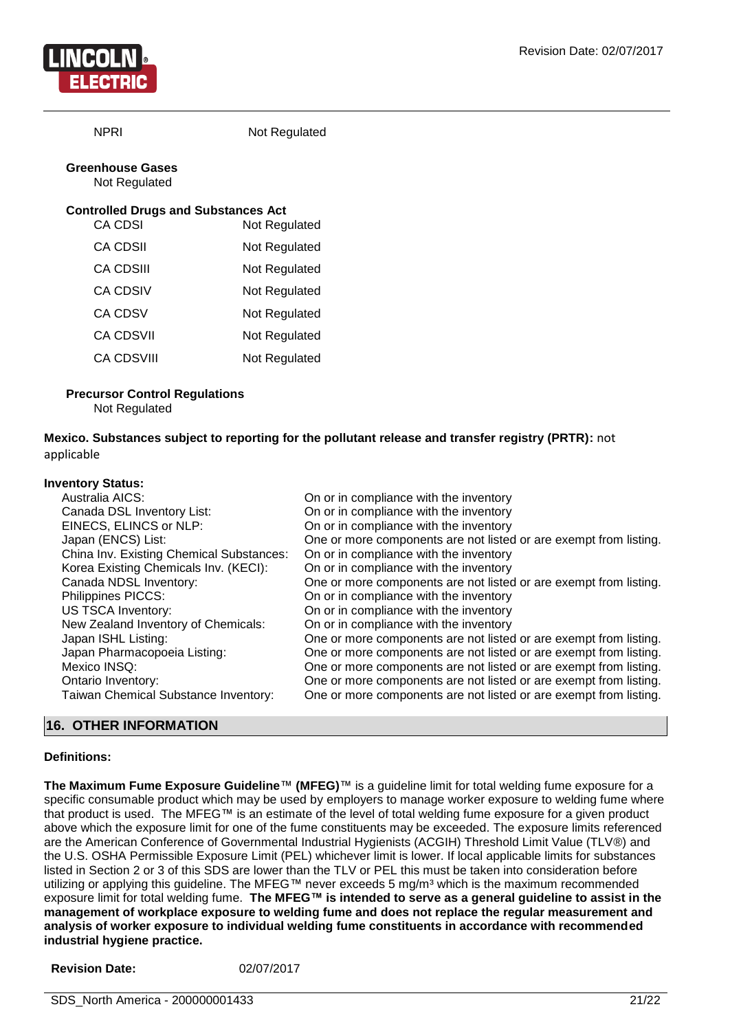

NPRI Not Regulated

#### **Greenhouse Gases** Not Regulated

#### **Controlled Drugs and Substances Act**

| CA CDSI           | Not Regulated |
|-------------------|---------------|
| CA CDSII          | Not Regulated |
| CA CDSIII         | Not Regulated |
| CA CDSIV          | Not Regulated |
| <b>CA CDSV</b>    | Not Regulated |
| <b>CA CDSVII</b>  | Not Regulated |
| <b>CA CDSVIII</b> | Not Regulated |
|                   |               |

#### **Precursor Control Regulations**

Not Regulated

**Mexico. Substances subject to reporting for the pollutant release and transfer registry (PRTR):** not applicable

#### **Inventory Status:**

| .                                        |                                                                   |
|------------------------------------------|-------------------------------------------------------------------|
| Australia AICS:                          | On or in compliance with the inventory                            |
| Canada DSL Inventory List:               | On or in compliance with the inventory                            |
| EINECS, ELINCS or NLP:                   | On or in compliance with the inventory                            |
| Japan (ENCS) List:                       | One or more components are not listed or are exempt from listing. |
| China Inv. Existing Chemical Substances: | On or in compliance with the inventory                            |
| Korea Existing Chemicals Inv. (KECI):    | On or in compliance with the inventory                            |
| Canada NDSL Inventory:                   | One or more components are not listed or are exempt from listing. |
| Philippines PICCS:                       | On or in compliance with the inventory                            |
| <b>US TSCA Inventory:</b>                | On or in compliance with the inventory                            |
| New Zealand Inventory of Chemicals:      | On or in compliance with the inventory                            |
| Japan ISHL Listing:                      | One or more components are not listed or are exempt from listing. |
| Japan Pharmacopoeia Listing:             | One or more components are not listed or are exempt from listing. |
| Mexico INSQ:                             | One or more components are not listed or are exempt from listing. |
| Ontario Inventory:                       | One or more components are not listed or are exempt from listing. |
| Taiwan Chemical Substance Inventory:     | One or more components are not listed or are exempt from listing. |
|                                          |                                                                   |

#### **16. OTHER INFORMATION**

#### **Definitions:**

**The Maximum Fume Exposure Guideline**™ **(MFEG)**™ is a guideline limit for total welding fume exposure for a specific consumable product which may be used by employers to manage worker exposure to welding fume where that product is used. The MFEG™ is an estimate of the level of total welding fume exposure for a given product above which the exposure limit for one of the fume constituents may be exceeded. The exposure limits referenced are the American Conference of Governmental Industrial Hygienists (ACGIH) Threshold Limit Value (TLV®) and the U.S. OSHA Permissible Exposure Limit (PEL) whichever limit is lower. If local applicable limits for substances listed in Section 2 or 3 of this SDS are lower than the TLV or PEL this must be taken into consideration before utilizing or applying this guideline. The MFEG™ never exceeds 5 mg/m<sup>3</sup> which is the maximum recommended exposure limit for total welding fume. **The MFEG™ is intended to serve as a general guideline to assist in the management of workplace exposure to welding fume and does not replace the regular measurement and analysis of worker exposure to individual welding fume constituents in accordance with recommended industrial hygiene practice.**

| <b>Revision Date:</b> | 02/07/2017 |
|-----------------------|------------|
|                       |            |